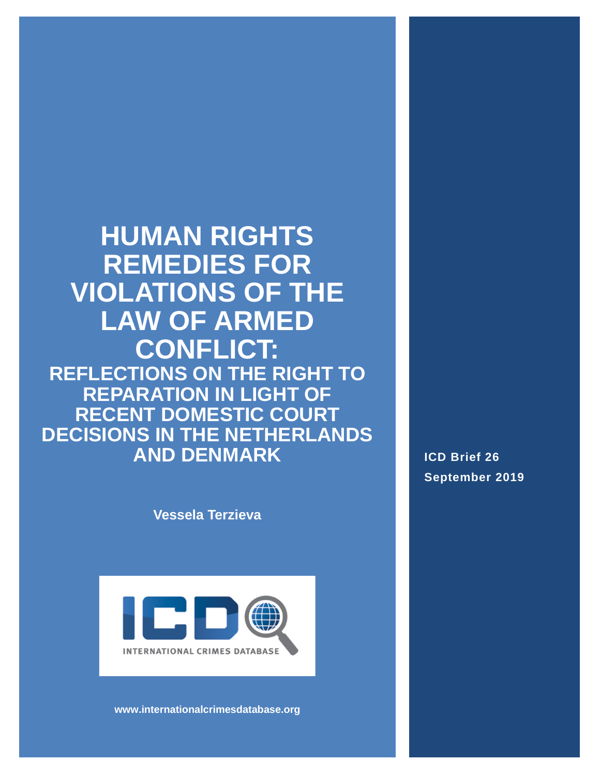**HUMAN RIGHTS REMEDIES FOR VIOLATIONS OF THE LAW OF ARMED CONFLICT: REFLECTIONS ON THE RIGHT TO REPARATION IN LIGHT OF RECENT DOMESTIC COURT DECISIONS IN THE NETHERLANDS AND DENMARK**

**Vessela Terzieva**



**www.internationalcrimesdatabase.org**

**ICD Brief 26 September 2019**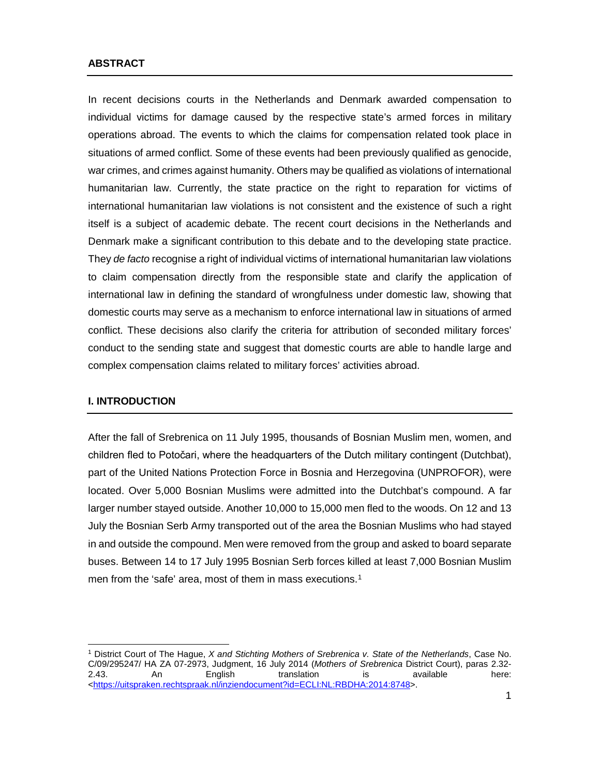#### **ABSTRACT**

In recent decisions courts in the Netherlands and Denmark awarded compensation to individual victims for damage caused by the respective state's armed forces in military operations abroad. The events to which the claims for compensation related took place in situations of armed conflict. Some of these events had been previously qualified as genocide, war crimes, and crimes against humanity. Others may be qualified as violations of international humanitarian law. Currently, the state practice on the right to reparation for victims of international humanitarian law violations is not consistent and the existence of such a right itself is a subject of academic debate. The recent court decisions in the Netherlands and Denmark make a significant contribution to this debate and to the developing state practice. They *de facto* recognise a right of individual victims of international humanitarian law violations to claim compensation directly from the responsible state and clarify the application of international law in defining the standard of wrongfulness under domestic law, showing that domestic courts may serve as a mechanism to enforce international law in situations of armed conflict. These decisions also clarify the criteria for attribution of seconded military forces' conduct to the sending state and suggest that domestic courts are able to handle large and complex compensation claims related to military forces' activities abroad.

#### **I. INTRODUCTION**

After the fall of Srebrenica on 11 July 1995, thousands of Bosnian Muslim men, women, and children fled to Potočari, where the headquarters of the Dutch military contingent (Dutchbat), part of the United Nations Protection Force in Bosnia and Herzegovina (UNPROFOR), were located. Over 5,000 Bosnian Muslims were admitted into the Dutchbat's compound. A far larger number stayed outside. Another 10,000 to 15,000 men fled to the woods. On 12 and 13 July the Bosnian Serb Army transported out of the area the Bosnian Muslims who had stayed in and outside the compound. Men were removed from the group and asked to board separate buses. Between 14 to 17 July 1995 Bosnian Serb forces killed at least 7,000 Bosnian Muslim men from the 'safe' area, most of them in mass executions.<sup>1</sup>

<span id="page-1-0"></span> $\overline{a}$ <sup>1</sup> District Court of The Hague, *X and Stichting Mothers of Srebrenica v. State of the Netherlands*, Case No. C/09/295247/ HA ZA 07-2973, Judgment, 16 July 2014 (*Mothers of Srebrenica* District Court), paras 2.32- 2.43. An English translation is available here: [<https://uitspraken.rechtspraak.nl/inziendocument?id=ECLI:NL:RBDHA:2014:8748>](https://uitspraken.rechtspraak.nl/inziendocument?id=ECLI:NL:RBDHA:2014:8748).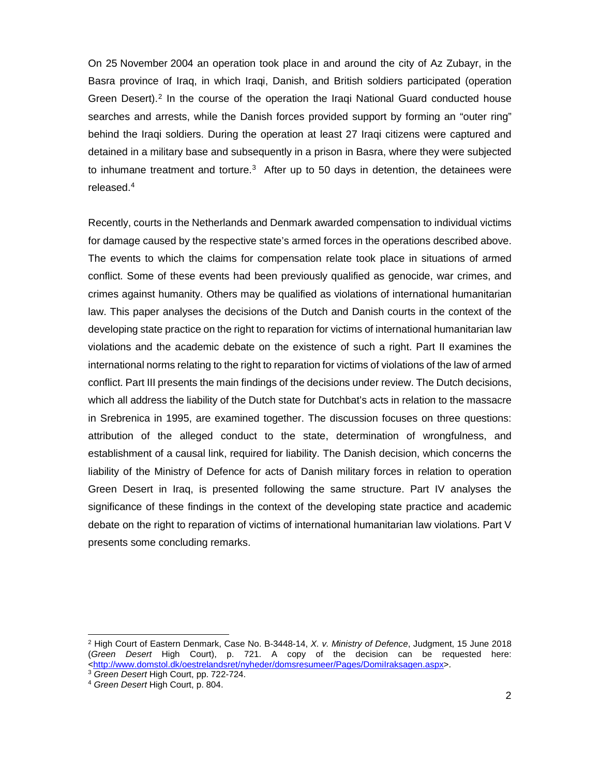On 25 November 2004 an operation took place in and around the city of Az Zubayr, in the Basra province of Iraq, in which Iraqi, Danish, and British soldiers participated (operation Green Desert).<sup>[2](#page-2-0)</sup> In the course of the operation the Iraqi National Guard conducted house searches and arrests, while the Danish forces provided support by forming an "outer ring" behind the Iraqi soldiers. During the operation at least 27 Iraqi citizens were captured and detained in a military base and subsequently in a prison in Basra, where they were subjected to inhumane treatment and torture.<sup>[3](#page-2-1)</sup> After up to 50 days in detention, the detainees were released.[4](#page-2-2)

Recently, courts in the Netherlands and Denmark awarded compensation to individual victims for damage caused by the respective state's armed forces in the operations described above. The events to which the claims for compensation relate took place in situations of armed conflict. Some of these events had been previously qualified as genocide, war crimes, and crimes against humanity. Others may be qualified as violations of international humanitarian law. This paper analyses the decisions of the Dutch and Danish courts in the context of the developing state practice on the right to reparation for victims of international humanitarian law violations and the academic debate on the existence of such a right. Part II examines the international norms relating to the right to reparation for victims of violations of the law of armed conflict. Part III presents the main findings of the decisions under review. The Dutch decisions, which all address the liability of the Dutch state for Dutchbat's acts in relation to the massacre in Srebrenica in 1995, are examined together. The discussion focuses on three questions: attribution of the alleged conduct to the state, determination of wrongfulness, and establishment of a causal link, required for liability. The Danish decision, which concerns the liability of the Ministry of Defence for acts of Danish military forces in relation to operation Green Desert in Iraq, is presented following the same structure. Part IV analyses the significance of these findings in the context of the developing state practice and academic debate on the right to reparation of victims of international humanitarian law violations. Part V presents some concluding remarks.

<span id="page-2-0"></span><sup>2</sup> High Court of Eastern Denmark, Case No. B-3448-14, *X. v. Ministry of Defence*, Judgment, 15 June 2018 (*Green Desert* High Court), p. 721. A copy of the decision can be requested here: [<http://www.domstol.dk/oestrelandsret/nyheder/domsresumeer/Pages/DomiIraksagen.aspx>](http://www.domstol.dk/oestrelandsret/nyheder/domsresumeer/Pages/DomiIraksagen.aspx). 3 *Green Desert* High Court, pp. 722-724.

<span id="page-2-2"></span><span id="page-2-1"></span><sup>4</sup> *Green Desert* High Court, p. 804.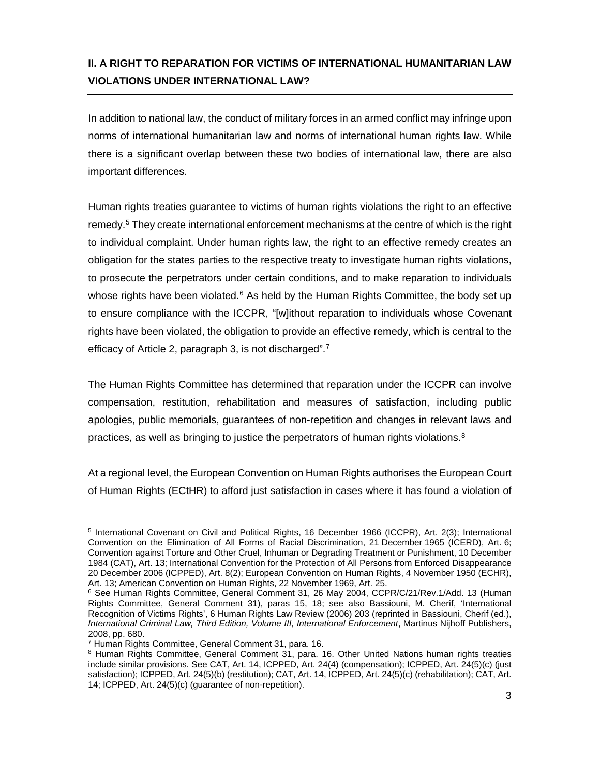# **II. A RIGHT TO REPARATION FOR VICTIMS OF INTERNATIONAL HUMANITARIAN LAW VIOLATIONS UNDER INTERNATIONAL LAW?**

In addition to national law, the conduct of military forces in an armed conflict may infringe upon norms of international humanitarian law and norms of international human rights law. While there is a significant overlap between these two bodies of international law, there are also important differences.

Human rights treaties guarantee to victims of human rights violations the right to an effective remedy.<sup>[5](#page-3-0)</sup> They create international enforcement mechanisms at the centre of which is the right to individual complaint. Under human rights law, the right to an effective remedy creates an obligation for the states parties to the respective treaty to investigate human rights violations, to prosecute the perpetrators under certain conditions, and to make reparation to individuals whose rights have been violated. $6$  As held by the Human Rights Committee, the body set up to ensure compliance with the ICCPR, "[w]ithout reparation to individuals whose Covenant rights have been violated, the obligation to provide an effective remedy, which is central to the efficacy of Article 2, paragraph 3, is not discharged".<sup>7</sup>

The Human Rights Committee has determined that reparation under the ICCPR can involve compensation, restitution, rehabilitation and measures of satisfaction, including public apologies, public memorials, guarantees of non-repetition and changes in relevant laws and practices, as well as bringing to justice the perpetrators of human rights violations. $8$ 

At a regional level, the European Convention on Human Rights authorises the European Court of Human Rights (ECtHR) to afford just satisfaction in cases where it has found a violation of

<span id="page-3-0"></span> $\overline{a}$ <sup>5</sup> International Covenant on Civil and Political Rights, 16 December 1966 (ICCPR), Art. 2(3); International Convention on the Elimination of All Forms of Racial Discrimination, 21 December 1965 (ICERD), Art. 6; Convention against Torture and Other Cruel, Inhuman or Degrading Treatment or Punishment, 10 December 1984 (CAT), Art. 13; International Convention for the Protection of All Persons from Enforced Disappearance 20 December 2006 (ICPPED), Art. 8(2); European Convention on Human Rights, 4 November 1950 (ECHR), Art. 13; American Convention on Human Rights, 22 November 1969, Art. 25.

<span id="page-3-1"></span><sup>6</sup> See Human Rights Committee, General Comment 31, 26 May 2004, CCPR/C/21/Rev.1/Add. 13 (Human Rights Committee, General Comment 31), paras 15, 18; see also Bassiouni, M. Cherif, 'International Recognition of Victims Rights', 6 Human Rights Law Review (2006) 203 (reprinted in Bassiouni, Cherif (ed.), *International Criminal Law, Third Edition, Volume III, International Enforcement*, Martinus Nijhoff Publishers, 2008, pp. 680.

<sup>7</sup> Human Rights Committee, General Comment 31, para. 16.

<span id="page-3-3"></span><span id="page-3-2"></span><sup>8</sup> Human Rights Committee, General Comment 31, para. 16. Other United Nations human rights treaties include similar provisions. See CAT, Art. 14, ICPPED, Art. 24(4) (compensation); ICPPED, Art. 24(5)(c) (just satisfaction); ICPPED, Art. 24(5)(b) (restitution); CAT, Art. 14, ICPPED, Art. 24(5)(c) (rehabilitation); CAT, Art. 14; ICPPED, Art. 24(5)(c) (guarantee of non-repetition).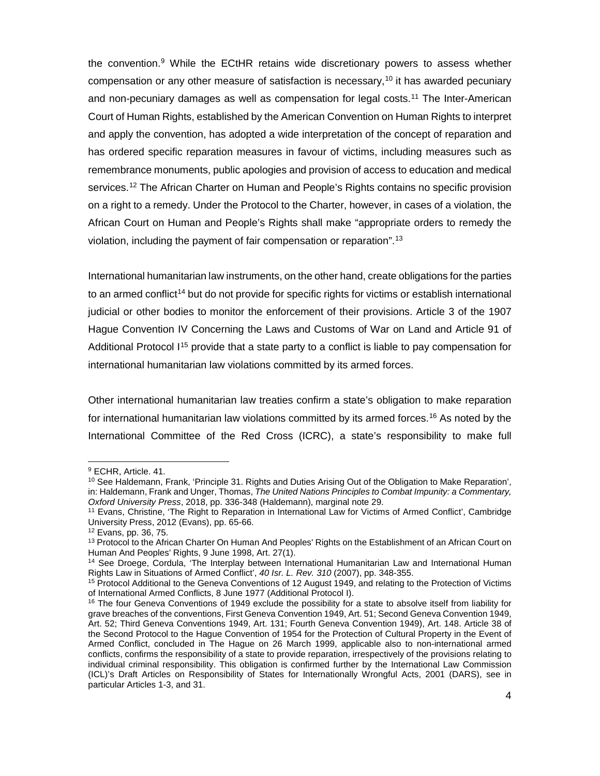the convention.[9](#page-4-0) While the ECtHR retains wide discretionary powers to assess whether compensation or any other measure of satisfaction is necessary,<sup>[10](#page-4-1)</sup> it has awarded pecuniary and non-pecuniary damages as well as compensation for legal costs.[11](#page-4-2) The Inter-American Court of Human Rights, established by the American Convention on Human Rights to interpret and apply the convention, has adopted a wide interpretation of the concept of reparation and has ordered specific reparation measures in favour of victims, including measures such as remembrance monuments, public apologies and provision of access to education and medical services.<sup>[12](#page-4-3)</sup> The African Charter on Human and People's Rights contains no specific provision on a right to a remedy. Under the Protocol to the Charter, however, in cases of a violation, the African Court on Human and People's Rights shall make "appropriate orders to remedy the violation, including the payment of fair compensation or reparation"[.13](#page-4-4)

International humanitarian law instruments, on the other hand, create obligations for the parties to an armed conflict<sup>14</sup> but do not provide for specific rights for victims or establish international judicial or other bodies to monitor the enforcement of their provisions. Article 3 of the 1907 Hague Convention IV Concerning the Laws and Customs of War on Land and Article 91 of Additional Protocol  $1^{15}$  $1^{15}$  $1^{15}$  provide that a state party to a conflict is liable to pay compensation for international humanitarian law violations committed by its armed forces.

Other international humanitarian law treaties confirm a state's obligation to make reparation for international humanitarian law violations committed by its armed forces.<sup>[16](#page-4-7)</sup> As noted by the International Committee of the Red Cross (ICRC), a state's responsibility to make full

<span id="page-4-1"></span><span id="page-4-0"></span><sup>9</sup> ECHR, Article. 41.

<sup>10</sup> See Haldemann, Frank, 'Principle 31. Rights and Duties Arising Out of the Obligation to Make Reparation', in: Haldemann, Frank and Unger, Thomas, *The United Nations Principles to Combat Impunity: a Commentary, Oxford University Press*, 2018, pp. 336-348 (Haldemann), marginal note 29.

<span id="page-4-2"></span><sup>11</sup> Evans, Christine, 'The Right to Reparation in International Law for Victims of Armed Conflict', Cambridge University Press, 2012 (Evans), pp. 65-66.<br><sup>12</sup> Evans, pp. 36, 75.

<span id="page-4-3"></span>

<span id="page-4-4"></span><sup>&</sup>lt;sup>13</sup> Protocol to the African Charter On Human And Peoples' Rights on the Establishment of an African Court on Human And Peoples' Rights, 9 June 1998, Art. 27(1).

<span id="page-4-5"></span><sup>&</sup>lt;sup>14</sup> See Droege, Cordula, 'The Interplay between International Humanitarian Law and International Human Rights Law in Situations of Armed Conflict', 40 lsr. L. Rev. 310 (2007), pp. 348-355.

<span id="page-4-6"></span><sup>&</sup>lt;sup>15</sup> Protocol Additional to the Geneva Conventions of 12 August 1949, and relating to the Protection of Victims of International Armed Conflicts, 8 June 1977 (Additional Protocol I).

<span id="page-4-7"></span><sup>&</sup>lt;sup>16</sup> The four Geneva Conventions of 1949 exclude the possibility for a state to absolve itself from liability for grave breaches of the conventions, First Geneva Convention 1949, Art. 51; Second Geneva Convention 1949, Art. 52; Third Geneva Conventions 1949, Art. 131; Fourth Geneva Convention 1949), Art. 148. Article 38 of the Second Protocol to the Hague Convention of 1954 for the Protection of Cultural Property in the Event of Armed Conflict, concluded in The Hague on 26 March 1999, applicable also to non-international armed conflicts, confirms the responsibility of a state to provide reparation, irrespectively of the provisions relating to individual criminal responsibility. This obligation is confirmed further by the International Law Commission (ICL)'s Draft Articles on Responsibility of States for Internationally Wrongful Acts, 2001 (DARS), see in particular Articles 1-3, and 31.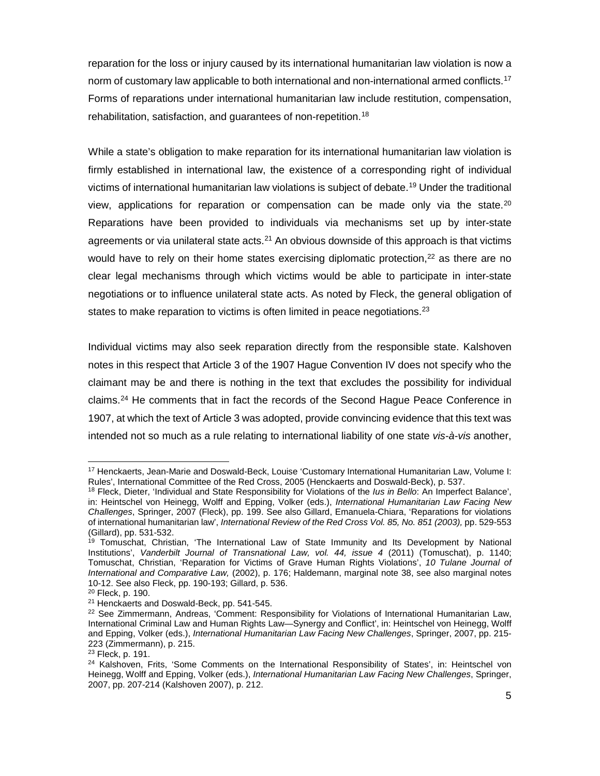reparation for the loss or injury caused by its international humanitarian law violation is now a norm of customary law applicable to both international and non-international armed conflicts.<sup>17</sup> Forms of reparations under international humanitarian law include restitution, compensation, rehabilitation, satisfaction, and quarantees of non-repetition.<sup>[18](#page-5-1)</sup>

While a state's obligation to make reparation for its international humanitarian law violation is firmly established in international law, the existence of a corresponding right of individual victims of international humanitarian law violations is subject of debate[.19](#page-5-2) Under the traditional view, applications for reparation or compensation can be made only via the state.<sup>[20](#page-5-3)</sup> Reparations have been provided to individuals via mechanisms set up by inter-state agreements or via unilateral state acts. $21$  An obvious downside of this approach is that victims would have to rely on their home states exercising diplomatic protection, $22$  as there are no clear legal mechanisms through which victims would be able to participate in inter-state negotiations or to influence unilateral state acts. As noted by Fleck, the general obligation of states to make reparation to victims is often limited in peace negotiations.<sup>[23](#page-5-6)</sup>

Individual victims may also seek reparation directly from the responsible state. Kalshoven notes in this respect that Article 3 of the 1907 Hague Convention IV does not specify who the claimant may be and there is nothing in the text that excludes the possibility for individual claims.[24](#page-5-7) He comments that in fact the records of the Second Hague Peace Conference in 1907, at which the text of Article 3 was adopted, provide convincing evidence that this text was intended not so much as a rule relating to international liability of one state *vis-à-vis* another,

<span id="page-5-0"></span><sup>&</sup>lt;sup>17</sup> Henckaerts, Jean-Marie and Doswald-Beck, Louise 'Customary International Humanitarian Law, Volume I:<br>Rules', International Committee of the Red Cross, 2005 (Henckaerts and Doswald-Beck), p. 537.

<span id="page-5-1"></span><sup>&</sup>lt;sup>18</sup> Fleck, Dieter, 'Individual and State Responsibility for Violations of the *Ius in Bello*: An Imperfect Balance', in: Heintschel von Heinegg, Wolff and Epping, Volker (eds.), *International Humanitarian Law Facing New Challenges*, Springer, 2007 (Fleck), pp. 199. See also Gillard, Emanuela-Chiara, 'Reparations for violations of international humanitarian law', *International Review of the Red Cross Vol. 85, No. 851 (2003),* pp. 529-553 (Gillard), pp. 531-532.

<span id="page-5-2"></span><sup>19</sup> Tomuschat, Christian, 'The International Law of State Immunity and Its Development by National Institutions', *Vanderbilt Journal of Transnational Law, vol. 44, issue 4* (2011) (Tomuschat), p. 1140; Tomuschat, Christian, 'Reparation for Victims of Grave Human Rights Violations', *10 Tulane Journal of International and Comparative Law,* (2002), p. 176; Haldemann, marginal note 38, see also marginal notes

<span id="page-5-3"></span><sup>&</sup>lt;sup>20</sup> Fleck, p. 190.<br><sup>21</sup> Henckaerts and Doswald-Beck, pp. 541-545.

<span id="page-5-5"></span><span id="page-5-4"></span><sup>22</sup> See Zimmermann, Andreas, 'Comment: Responsibility for Violations of International Humanitarian Law, International Criminal Law and Human Rights Law—Synergy and Conflict', in: Heintschel von Heinegg, Wolff and Epping, Volker (eds.), *International Humanitarian Law Facing New Challenges*, Springer, 2007, pp. 215- 223 (Zimmermann), p. 215.

<span id="page-5-6"></span><sup>&</sup>lt;sup>23</sup> Fleck, p. 191.

<span id="page-5-7"></span><sup>&</sup>lt;sup>24</sup> Kalshoven, Frits, 'Some Comments on the International Responsibility of States', in: Heintschel von Heinegg, Wolff and Epping, Volker (eds.), *International Humanitarian Law Facing New Challenges*, Springer, 2007, pp. 207-214 (Kalshoven 2007), p. 212.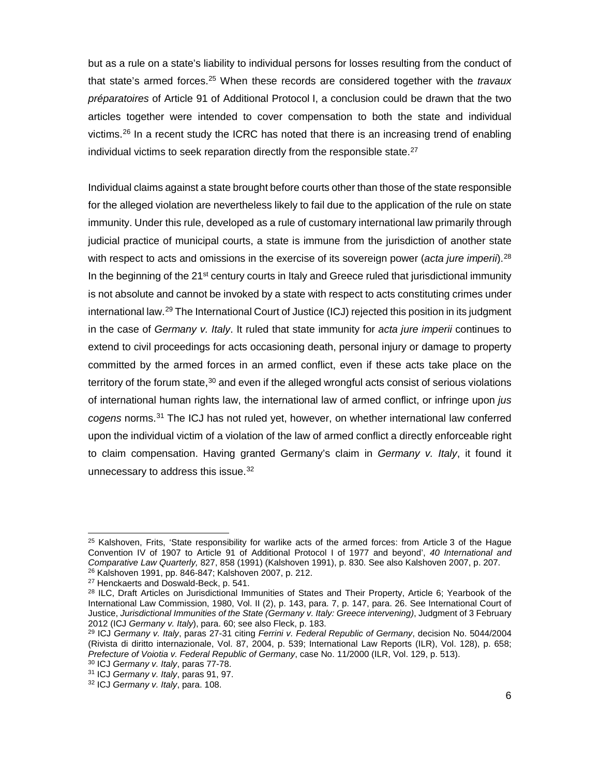but as a rule on a state's liability to individual persons for losses resulting from the conduct of that state's armed forces.[25](#page-6-0) When these records are considered together with the *travaux préparatoires* of Article 91 of Additional Protocol I, a conclusion could be drawn that the two articles together were intended to cover compensation to both the state and individual victims.<sup>[26](#page-6-1)</sup> In a recent study the ICRC has noted that there is an increasing trend of enabling individual victims to seek reparation directly from the responsible state. $27$ 

Individual claims against a state brought before courts other than those of the state responsible for the alleged violation are nevertheless likely to fail due to the application of the rule on state immunity. Under this rule, developed as a rule of customary international law primarily through judicial practice of municipal courts, a state is immune from the jurisdiction of another state with respect to acts and omissions in the exercise of its sovereign power (*acta jure imperii*).<sup>[28](#page-6-3)</sup> In the beginning of the  $21<sup>st</sup>$  century courts in Italy and Greece ruled that jurisdictional immunity is not absolute and cannot be invoked by a state with respect to acts constituting crimes under international law.<sup>[29](#page-6-4)</sup> The International Court of Justice (ICJ) rejected this position in its judgment in the case of *Germany v. Italy*. It ruled that state immunity for *acta jure imperii* continues to extend to civil proceedings for acts occasioning death, personal injury or damage to property committed by the armed forces in an armed conflict, even if these acts take place on the territory of the forum state,<sup>[30](#page-6-5)</sup> and even if the alleged wrongful acts consist of serious violations of international human rights law, the international law of armed conflict, or infringe upon *jus cogens* norms.[31](#page-6-6) The ICJ has not ruled yet, however, on whether international law conferred upon the individual victim of a violation of the law of armed conflict a directly enforceable right to claim compensation. Having granted Germany's claim in *Germany v. Italy*, it found it unnecessary to address this issue.<sup>[32](#page-6-7)</sup>

<span id="page-6-0"></span><sup>&</sup>lt;sup>25</sup> Kalshoven, Frits, 'State responsibility for warlike acts of the armed forces: from Article 3 of the Hague Convention IV of 1907 to Article 91 of Additional Protocol I of 1977 and beyond', *40 International and Comparative Law Quarterly,* 827, 858 (1991) (Kalshoven 1991), p. 830. See also Kalshoven 2007, p. 207. <sup>26</sup> Kalshoven 1991, pp. 846-847; Kalshoven 2007, p. 212.

<span id="page-6-2"></span><span id="page-6-1"></span><sup>27</sup> Henckaerts and Doswald-Beck, p. 541.

<span id="page-6-3"></span><sup>&</sup>lt;sup>28</sup> ILC, Draft Articles on Jurisdictional Immunities of States and Their Property, Article 6; Yearbook of the International Law Commission, 1980, Vol. II (2), p. 143, para. 7, p. 147, para. 26. See International Court of Justice, *Jurisdictional Immunities of the State (Germany v. Italy: Greece intervening)*, Judgment of 3 February 2012 (ICJ *Germany v. Italy*), para. 60; see also Fleck, p. 183.

<span id="page-6-4"></span><sup>29</sup> ICJ *Germany v. Italy*, paras 27-31 citing *Ferrini v. Federal Republic of Germany*, decision No. 5044/2004 (Rivista di diritto internazionale, Vol. 87, 2004, p. 539; International Law Reports (ILR), Vol. 128), p. 658; *Prefecture of Voiotia v. Federal Republic of Germany*, case No. 11/2000 (ILR, Vol. 129, p. 513).<br><sup>30</sup> ICJ *Germany v. Italy*, paras 77-78.

<span id="page-6-7"></span><span id="page-6-6"></span><span id="page-6-5"></span><sup>&</sup>lt;sup>31</sup> ICJ *Germany v. Italy*, paras 91, 97. <sup>32</sup> ICJ *Germany v. Italy*, para. 108.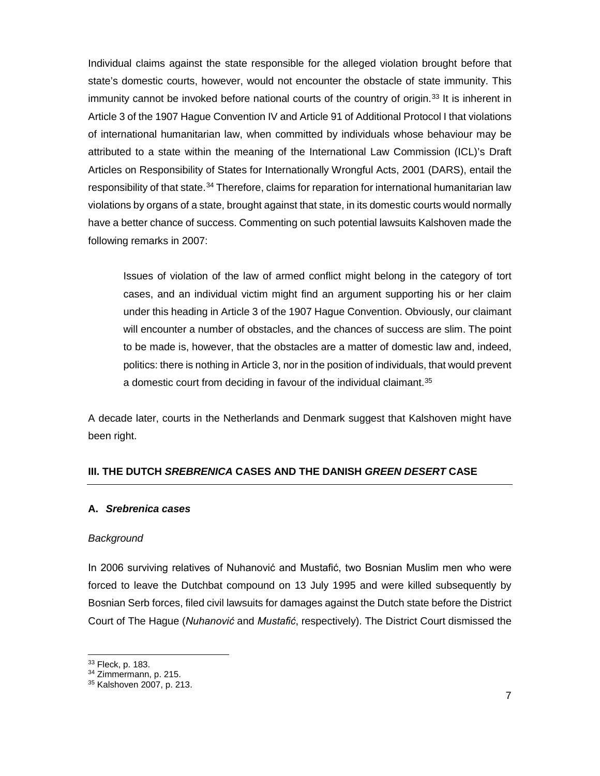Individual claims against the state responsible for the alleged violation brought before that state's domestic courts, however, would not encounter the obstacle of state immunity. This immunity cannot be invoked before national courts of the country of origin.<sup>[33](#page-7-0)</sup> It is inherent in Article 3 of the 1907 Hague Convention IV and Article 91 of Additional Protocol I that violations of international humanitarian law, when committed by individuals whose behaviour may be attributed to a state within the meaning of the International Law Commission (ICL)'s Draft Articles on Responsibility of States for Internationally Wrongful Acts, 2001 (DARS), entail the responsibility of that state.<sup>[34](#page-7-1)</sup> Therefore, claims for reparation for international humanitarian law violations by organs of a state, brought against that state, in its domestic courts would normally have a better chance of success. Commenting on such potential lawsuits Kalshoven made the following remarks in 2007:

Issues of violation of the law of armed conflict might belong in the category of tort cases, and an individual victim might find an argument supporting his or her claim under this heading in Article 3 of the 1907 Hague Convention. Obviously, our claimant will encounter a number of obstacles, and the chances of success are slim. The point to be made is, however, that the obstacles are a matter of domestic law and, indeed, politics: there is nothing in Article 3, nor in the position of individuals, that would prevent a domestic court from deciding in favour of the individual claimant.<sup>[35](#page-7-2)</sup>

A decade later, courts in the Netherlands and Denmark suggest that Kalshoven might have been right.

# **III. THE DUTCH** *SREBRENICA* **CASES AND THE DANISH** *GREEN DESERT* **CASE**

#### **A.** *Srebrenica cases*

#### *Background*

In 2006 surviving relatives of Nuhanović and Mustafić, two Bosnian Muslim men who were forced to leave the Dutchbat compound on 13 July 1995 and were killed subsequently by Bosnian Serb forces, filed civil lawsuits for damages against the Dutch state before the District Court of The Hague (*Nuhanović* and *Mustafić*, respectively). The District Court dismissed the

 $\overline{a}$ 

<span id="page-7-1"></span><span id="page-7-0"></span> $33$  Fleck, p. 183.<br> $34$  Zimmermann, p. 215.

<span id="page-7-2"></span><sup>35</sup> Kalshoven 2007, p. 213.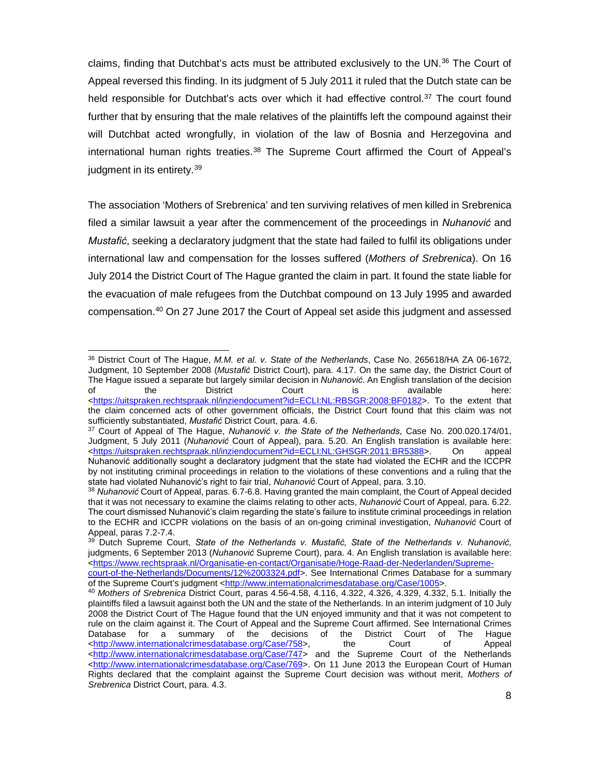claims, finding that Dutchbat's acts must be attributed exclusively to the UN.<sup>[36](#page-8-0)</sup> The Court of Appeal reversed this finding. In its judgment of 5 July 2011 it ruled that the Dutch state can be held responsible for Dutchbat's acts over which it had effective control.<sup>[37](#page-8-1)</sup> The court found further that by ensuring that the male relatives of the plaintiffs left the compound against their will Dutchbat acted wrongfully, in violation of the law of Bosnia and Herzegovina and international human rights treaties.<sup>[38](#page-8-2)</sup> The Supreme Court affirmed the Court of Appeal's judgment in its entirety.<sup>[39](#page-8-3)</sup>

The association 'Mothers of Srebrenica' and ten surviving relatives of men killed in Srebrenica filed a similar lawsuit a year after the commencement of the proceedings in *Nuhanović* and *Mustafić*, seeking a declaratory judgment that the state had failed to fulfil its obligations under international law and compensation for the losses suffered (*Mothers of Srebrenica*). On 16 July 2014 the District Court of The Hague granted the claim in part. It found the state liable for the evacuation of male refugees from the Dutchbat compound on 13 July 1995 and awarded compensation.[40](#page-8-4) On 27 June 2017 the Court of Appeal set aside this judgment and assessed

<span id="page-8-0"></span> $\overline{a}$ <sup>36</sup> District Court of The Hague, *M.M. et al. v. State of the Netherlands*, Case No. 265618/HA ZA 06-1672, Judgment, 10 September 2008 (*Mustafić* District Court), para. 4.17. On the same day, the District Court of The Hague issued a separate but largely similar decision in *Nuhanović*. An English translation of the decision of the District Court is available here: [<https://uitspraken.rechtspraak.nl/inziendocument?id=ECLI:NL:RBSGR:2008:BF0182>](https://uitspraken.rechtspraak.nl/inziendocument?id=ECLI:NL:RBSGR:2008:BF0182). To the extent that the claim concerned acts of other government officials, the District Court found that this claim was not sufficiently substantiated, *Mustafić* District Court, para. 4.6.

<span id="page-8-1"></span><sup>&</sup>lt;sup>37</sup> Court of Appeal of The Hague, Nuhanović v. the State of the Netherlands, Case No. 200.020.174/01, Judgment, 5 July 2011 (*Nuhanović* Court of Appeal), para. 5.20. An English translation is available here: [<https://uitspraken.rechtspraak.nl/inziendocument?id=ECLI:NL:GHSGR:2011:BR5388>](https://uitspraken.rechtspraak.nl/inziendocument?id=ECLI:NL:GHSGR:2011:BR5388). Nuhanović additionally sought a declaratory judgment that the state had violated the ECHR and the ICCPR by not instituting criminal proceedings in relation to the violations of these conventions and a ruling that the<br>state had violated Nuhanović's right to fair trial, Nuhanović Court of Appeal, para. 3.10.

<span id="page-8-2"></span><sup>&</sup>lt;sup>38</sup> Nuhanović Court of Appeal, paras. 6.7-6.8. Having granted the main complaint, the Court of Appeal decided that it was not necessary to examine the claims relating to other acts, *Nuhanović* Court of Appeal, para. 6.22. The court dismissed Nuhanović's claim regarding the state's failure to institute criminal proceedings in relation to the ECHR and ICCPR violations on the basis of an on-going criminal investigation, *Nuhanović* Court of Appeal, paras 7.2-7.4.

<span id="page-8-3"></span><sup>39</sup> Dutch Supreme Court, *State of the Netherlands v. Mustafić, State of the Netherlands v. Nuhanović*, judgments, 6 September 2013 (*Nuhanović* Supreme Court), para. 4. An English translation is available here: [<https://www.rechtspraak.nl/Organisatie-en-contact/Organisatie/Hoge-Raad-der-Nederlanden/Supreme-](https://www.rechtspraak.nl/Organisatie-en-contact/Organisatie/Hoge-Raad-der-Nederlanden/Supreme-court-of-the-Netherlands/Documents/12%2003324.pdf)

[court-of-the-Netherlands/Documents/12%2003324.pdf>](https://www.rechtspraak.nl/Organisatie-en-contact/Organisatie/Hoge-Raad-der-Nederlanden/Supreme-court-of-the-Netherlands/Documents/12%2003324.pdf). See International Crimes Database for a summary<br>of the Supreme Court's judgment <http://www.internationalcrimesdatabase.org/Case/1005>.

<span id="page-8-4"></span><sup>&</sup>lt;sup>40</sup> Mothers of Srebrenica District Court, paras 4.56-4.58, 4.116, 4.322, 4.326, 4.329, 4.332, 5.1. Initially the plaintiffs filed a lawsuit against both the UN and the state of the Netherlands. In an interim judgment of 10 July 2008 the District Court of The Hague found that the UN enjoyed immunity and that it was not competent to rule on the claim against it. The Court of Appeal and the Supreme Court affirmed. See International Crimes Database for a summary of the decisions of the District Court of The Hague [<http://www.internationalcrimesdatabase.org/Case/758>](http://www.internationalcrimesdatabase.org/Case/758), the Court of Appeal [<http://www.internationalcrimesdatabase.org/Case/747>](http://www.internationalcrimesdatabase.org/Case/747) and the Supreme Court of the Netherlands [<http://www.internationalcrimesdatabase.org/Case/769>](http://www.internationalcrimesdatabase.org/Case/769). On 11 June 2013 the European Court of Human Rights declared that the complaint against the Supreme Court decision was without merit, *Mothers of Srebrenica* District Court, para. 4.3.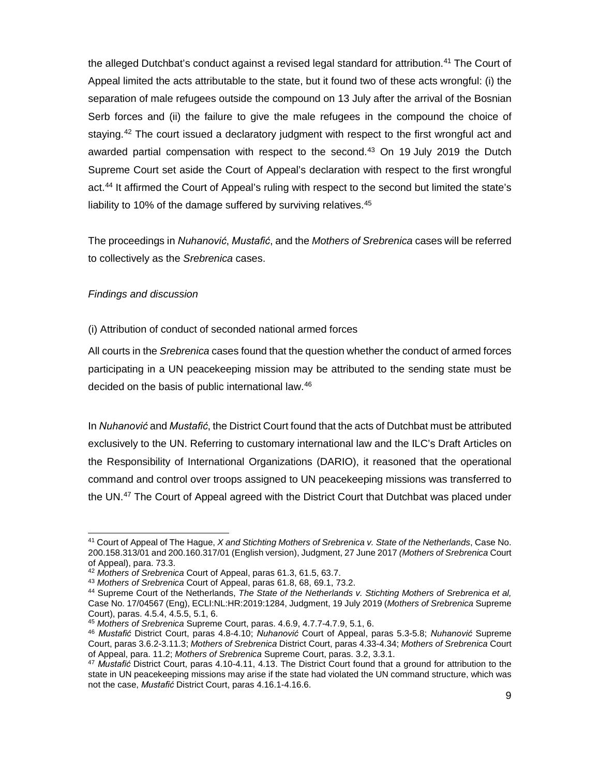the alleged Dutchbat's conduct against a revised legal standard for attribution.<sup>[41](#page-9-0)</sup> The Court of Appeal limited the acts attributable to the state, but it found two of these acts wrongful: (i) the separation of male refugees outside the compound on 13 July after the arrival of the Bosnian Serb forces and (ii) the failure to give the male refugees in the compound the choice of staying.<sup>[42](#page-9-1)</sup> The court issued a declaratory judgment with respect to the first wrongful act and awarded partial compensation with respect to the second.[43](#page-9-2) On 19 July 2019 the Dutch Supreme Court set aside the Court of Appeal's declaration with respect to the first wrongful act.[44](#page-9-3) It affirmed the Court of Appeal's ruling with respect to the second but limited the state's liability to 10% of the damage suffered by surviving relatives.<sup>[45](#page-9-4)</sup>

The proceedings in *Nuhanović*, *Mustafić*, and the *Mothers of Srebrenica* cases will be referred to collectively as the *Srebrenica* cases.

## *Findings and discussion*

(i) Attribution of conduct of seconded national armed forces

All courts in the *Srebrenica* cases found that the question whether the conduct of armed forces participating in a UN peacekeeping mission may be attributed to the sending state must be decided on the basis of public international law.[46](#page-9-5)

In *Nuhanović* and *Mustafić*, the District Court found that the acts of Dutchbat must be attributed exclusively to the UN. Referring to customary international law and the ILC's Draft Articles on the Responsibility of International Organizations (DARIO), it reasoned that the operational command and control over troops assigned to UN peacekeeping missions was transferred to the UN.<sup>[47](#page-9-6)</sup> The Court of Appeal agreed with the District Court that Dutchbat was placed under

<span id="page-9-0"></span> $\overline{a}$ <sup>41</sup> Court of Appeal of The Hague, *X and Stichting Mothers of Srebrenica v. State of the Netherlands*, Case No. 200.158.313/01 and 200.160.317/01 (English version), Judgment, 27 June 2017 *(Mothers of Srebrenica* Court of Appeal), para. 73.3.

<span id="page-9-1"></span><sup>42</sup> *Mothers of Srebrenica* Court of Appeal, paras 61.3, 61.5, 63.7.

<span id="page-9-3"></span><span id="page-9-2"></span><sup>&</sup>lt;sup>44</sup> Supreme Court of the Netherlands, The State of the Netherlands v. Stichting Mothers of Srebrenica et al, Case No. 17/04567 (Eng), ECLI:NL:HR:2019:1284, Judgment, 19 July 2019 (*Mothers of Srebrenica* Supreme Court), paras. 4.5.4, 4.5.5, 5.1, 6.

<sup>45</sup> *Mothers of Srebrenica* Supreme Court, paras. 4.6.9, 4.7.7-4.7.9, 5.1, 6.

<span id="page-9-5"></span><span id="page-9-4"></span><sup>46</sup> *Mustafić* District Court, paras 4.8-4.10; *Nuhanović* Court of Appeal, paras 5.3-5.8; *Nuhanović* Supreme Court, paras 3.6.2-3.11.3; *Mothers of Srebrenica* District Court, paras 4.33-4.34; *Mothers of Srebrenica* Court of Appeal, para. 11.2; *Mothers of Srebrenica* Supreme Court, paras. 3.2, 3.3.1.

<span id="page-9-6"></span><sup>47</sup> *Mustafić* District Court, paras 4.10-4.11, 4.13. The District Court found that a ground for attribution to the state in UN peacekeeping missions may arise if the state had violated the UN command structure, which was not the case, *Mustafić* District Court, paras 4.16.1-4.16.6.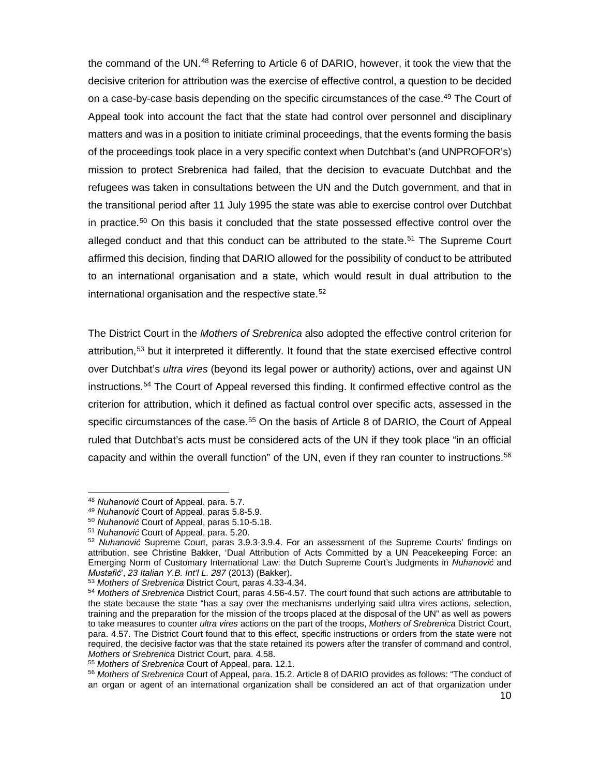the command of the UN[.48](#page-10-0) Referring to Article 6 of DARIO, however, it took the view that the decisive criterion for attribution was the exercise of effective control, a question to be decided on a case-by-case basis depending on the specific circumstances of the case.<sup>[49](#page-10-1)</sup> The Court of Appeal took into account the fact that the state had control over personnel and disciplinary matters and was in a position to initiate criminal proceedings, that the events forming the basis of the proceedings took place in a very specific context when Dutchbat's (and UNPROFOR's) mission to protect Srebrenica had failed, that the decision to evacuate Dutchbat and the refugees was taken in consultations between the UN and the Dutch government, and that in the transitional period after 11 July 1995 the state was able to exercise control over Dutchbat in practice.<sup>50</sup> On this basis it concluded that the state possessed effective control over the alleged conduct and that this conduct can be attributed to the state.[51](#page-10-3) The Supreme Court affirmed this decision, finding that DARIO allowed for the possibility of conduct to be attributed to an international organisation and a state, which would result in dual attribution to the international organisation and the respective state.<sup>[52](#page-10-4)</sup>

The District Court in the *Mothers of Srebrenica* also adopted the effective control criterion for attribution,[53](#page-10-5) but it interpreted it differently. It found that the state exercised effective control over Dutchbat's *ultra vires* (beyond its legal power or authority) actions, over and against UN instructions.[54](#page-10-6) The Court of Appeal reversed this finding. It confirmed effective control as the criterion for attribution, which it defined as factual control over specific acts, assessed in the specific circumstances of the case.<sup>[55](#page-10-7)</sup> On the basis of Article 8 of DARIO, the Court of Appeal ruled that Dutchbat's acts must be considered acts of the UN if they took place "in an official capacity and within the overall function" of the UN, even if they ran counter to instructions. $56$ 

<span id="page-10-2"></span>

<span id="page-10-1"></span><span id="page-10-0"></span><sup>48</sup> *Nuhanović* Court of Appeal, para. 5.7. 49 *Nuhanović* Court of Appeal, paras 5.8-5.9. 50 *Nuhanović* Court of Appeal, paras 5.10-5.18.

<span id="page-10-3"></span>

<span id="page-10-4"></span><sup>52</sup> *Nuhanović* Supreme Court, paras 3.9.3-3.9.4. For an assessment of the Supreme Courts' findings on attribution, see Christine Bakker, 'Dual Attribution of Acts Committed by a UN Peacekeeping Force: an Emerging Norm of Customary International Law: the Dutch Supreme Court's Judgments in *Nuhanović* and

<span id="page-10-5"></span><sup>&</sup>lt;sup>53</sup> Mothers of Srebrenica District Court, paras 4.33-4.34.

<span id="page-10-6"></span><sup>54</sup> *Mothers of Srebrenica* District Court, paras 4.56-4.57. The court found that such actions are attributable to the state because the state "has a say over the mechanisms underlying said ultra vires actions, selection, training and the preparation for the mission of the troops placed at the disposal of the UN" as well as powers to take measures to counter *ultra vires* actions on the part of the troops, *Mothers of Srebrenica* District Court, para. 4.57. The District Court found that to this effect, specific instructions or orders from the state were not required, the decisive factor was that the state retained its powers after the transfer of command and control, *Mothers of Srebrenica* District Court, para. 4.58.

<span id="page-10-7"></span>

<span id="page-10-8"></span><sup>56</sup> Mothers of Srebrenica Court of Appeal, para. 15.2. Article 8 of DARIO provides as follows: "The conduct of an organ or agent of an international organization shall be considered an act of that organization under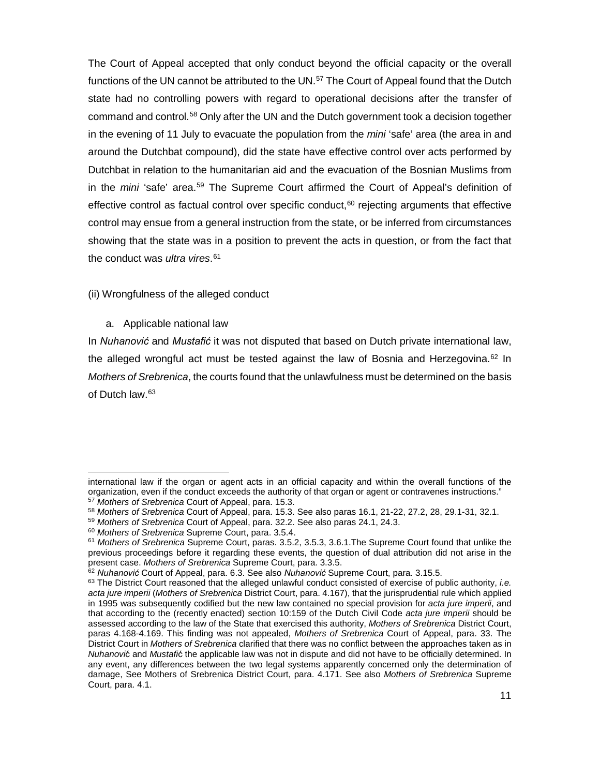The Court of Appeal accepted that only conduct beyond the official capacity or the overall functions of the UN cannot be attributed to the UN.<sup>[57](#page-11-0)</sup> The Court of Appeal found that the Dutch state had no controlling powers with regard to operational decisions after the transfer of command and control.[58](#page-11-1) Only after the UN and the Dutch government took a decision together in the evening of 11 July to evacuate the population from the *mini* 'safe' area (the area in and around the Dutchbat compound), did the state have effective control over acts performed by Dutchbat in relation to the humanitarian aid and the evacuation of the Bosnian Muslims from in the *mini* 'safe' area.[59](#page-11-2) The Supreme Court affirmed the Court of Appeal's definition of effective control as factual control over specific conduct, $60$  rejecting arguments that effective control may ensue from a general instruction from the state, or be inferred from circumstances showing that the state was in a position to prevent the acts in question, or from the fact that the conduct was *ultra vires*. [61](#page-11-4)

# (ii) Wrongfulness of the alleged conduct

## a. Applicable national law

 $\overline{a}$ 

In *Nuhanović* and *Mustafić* it was not disputed that based on Dutch private international law, the alleged wrongful act must be tested against the law of Bosnia and Herzegovina.<sup>[62](#page-11-5)</sup> In *Mothers of Srebrenica*, the courts found that the unlawfulness must be determined on the basis of Dutch law.[63](#page-11-6)

international law if the organ or agent acts in an official capacity and within the overall functions of the organization, even if the conduct exceeds the authority of that organ or agent or contravenes instructions." <sup>57</sup> *Mothers of Srebrenica* Court of Appeal, para. 15.3.

<span id="page-11-0"></span><sup>58</sup> *Mothers of Srebrenica* Court of Appeal, para. 15.3. See also paras 16.1, 21-22, 27.2, 28, 29.1-31, 32.1.

<span id="page-11-2"></span><span id="page-11-1"></span><sup>59</sup> *Mothers of Srebrenica* Court of Appeal, para. 32.2. See also paras 24.1, 24.3.

<span id="page-11-4"></span><span id="page-11-3"></span><sup>60</sup> *Mothers of Srebrenica* Supreme Court, para. 3.5.4.

<sup>61</sup> *Mothers of Srebrenica* Supreme Court, paras. 3.5.2, 3.5.3, 3.6.1.The Supreme Court found that unlike the previous proceedings before it regarding these events, the question of dual attribution did not arise in the present case. *Mothers of Srebrenica* Supreme Court, para. 3.3.5.<br><sup>62</sup> Nuhanović Court of Appeal, para. 6.3. See also Nuhanović Supreme Court, para. 3.15.5.

<span id="page-11-6"></span><span id="page-11-5"></span><sup>&</sup>lt;sup>63</sup> The District Court reasoned that the alleged unlawful conduct consisted of exercise of public authority, *i.e. acta jure imperii* (*Mothers of Srebrenica* District Court, para. 4.167), that the jurisprudential rule which applied in 1995 was subsequently codified but the new law contained no special provision for *acta jure imperii*, and that according to the (recently enacted) section 10:159 of the Dutch Civil Code *acta jure imperii* should be assessed according to the law of the State that exercised this authority, *Mothers of Srebrenica* District Court, paras 4.168-4.169. This finding was not appealed, *Mothers of Srebrenica* Court of Appeal, para. 33. The District Court in *Mothers of Srebrenica* clarified that there was no conflict between the approaches taken as in *Nuhanovi*ć and *Mustafi*ć the applicable law was not in dispute and did not have to be officially determined. In any event, any differences between the two legal systems apparently concerned only the determination of damage, See Mothers of Srebrenica District Court, para. 4.171. See also *Mothers of Srebrenica* Supreme Court, para. 4.1.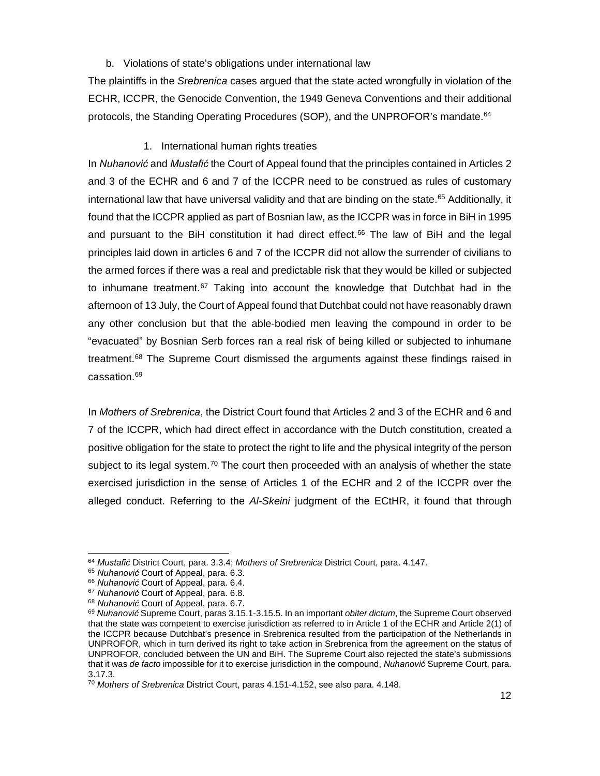## b. Violations of state's obligations under international law

The plaintiffs in the *Srebrenica* cases argued that the state acted wrongfully in violation of the ECHR, ICCPR, the Genocide Convention, the 1949 Geneva Conventions and their additional protocols, the Standing Operating Procedures (SOP), and the UNPROFOR's mandate.<sup>[64](#page-12-0)</sup>

# 1. International human rights treaties

In *Nuhanović* and *Mustafić* the Court of Appeal found that the principles contained in Articles 2 and 3 of the ECHR and 6 and 7 of the ICCPR need to be construed as rules of customary international law that have universal validity and that are binding on the state.<sup>[65](#page-12-1)</sup> Additionally, it found that the ICCPR applied as part of Bosnian law, as the ICCPR was in force in BiH in 1995 and pursuant to the BiH constitution it had direct effect.<sup>[66](#page-12-2)</sup> The law of BiH and the legal principles laid down in articles 6 and 7 of the ICCPR did not allow the surrender of civilians to the armed forces if there was a real and predictable risk that they would be killed or subjected to inhumane treatment.<sup>[67](#page-12-3)</sup> Taking into account the knowledge that Dutchbat had in the afternoon of 13 July, the Court of Appeal found that Dutchbat could not have reasonably drawn any other conclusion but that the able-bodied men leaving the compound in order to be "evacuated" by Bosnian Serb forces ran a real risk of being killed or subjected to inhumane treatment.<sup>[68](#page-12-4)</sup> The Supreme Court dismissed the arguments against these findings raised in cassation. [69](#page-12-5)

In *Mothers of Srebrenica*, the District Court found that Articles 2 and 3 of the ECHR and 6 and 7 of the ICCPR, which had direct effect in accordance with the Dutch constitution, created a positive obligation for the state to protect the right to life and the physical integrity of the person subject to its legal system.<sup>[70](#page-12-6)</sup> The court then proceeded with an analysis of whether the state exercised jurisdiction in the sense of Articles 1 of the ECHR and 2 of the ICCPR over the alleged conduct. Referring to the *Al-Skeini* judgment of the ECtHR, it found that through

<span id="page-12-2"></span><span id="page-12-1"></span><span id="page-12-0"></span> $\overline{a}$ <sup>64</sup> *Mustafić* District Court, para. 3.3.4; *Mothers of Srebrenica* District Court, para. 4.147.

<sup>&</sup>lt;sup>65</sup> Nuhanović Court of Appeal, para. 6.3.<br><sup>66</sup> Nuhanović Court of Appeal, para. 6.4.

<span id="page-12-4"></span><span id="page-12-3"></span><sup>&</sup>lt;sup>67</sup> Nuhanović Court of Appeal, para. 6.8.<br><sup>68</sup> Nuhanović Court of Appeal, para. 6.7.

<span id="page-12-5"></span><sup>&</sup>lt;sup>69</sup> Nuhanović Supreme Court, paras 3.15.1-3.15.5. In an important *obiter dictum*, the Supreme Court observed that the state was competent to exercise jurisdiction as referred to in Article 1 of the ECHR and Article 2(1) of the ICCPR because Dutchbat's presence in Srebrenica resulted from the participation of the Netherlands in UNPROFOR, which in turn derived its right to take action in Srebrenica from the agreement on the status of UNPROFOR, concluded between the UN and BiH. The Supreme Court also rejected the state's submissions that it was *de facto* impossible for it to exercise jurisdiction in the compound, *Nuhanović* Supreme Court, para. 3.17.3.

<span id="page-12-6"></span><sup>70</sup> *Mothers of Srebrenica* District Court, paras 4.151-4.152, see also para. 4.148.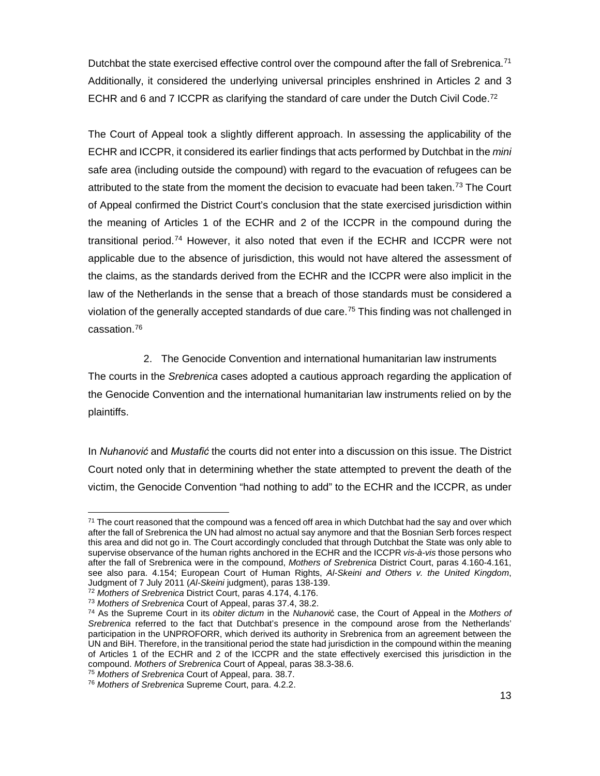Dutchbat the state exercised effective control over the compound after the fall of Srebrenica.<sup>[71](#page-13-0)</sup> Additionally, it considered the underlying universal principles enshrined in Articles 2 and 3 ECHR and 6 and 7 ICCPR as clarifying the standard of care under the Dutch Civil Code.<sup>72</sup>

The Court of Appeal took a slightly different approach. In assessing the applicability of the ECHR and ICCPR, it considered its earlier findings that acts performed by Dutchbat in the *mini* safe area (including outside the compound) with regard to the evacuation of refugees can be attributed to the state from the moment the decision to evacuate had been taken.<sup>[73](#page-13-2)</sup> The Court of Appeal confirmed the District Court's conclusion that the state exercised jurisdiction within the meaning of Articles 1 of the ECHR and 2 of the ICCPR in the compound during the transitional period.[74](#page-13-3) However, it also noted that even if the ECHR and ICCPR were not applicable due to the absence of jurisdiction, this would not have altered the assessment of the claims, as the standards derived from the ECHR and the ICCPR were also implicit in the law of the Netherlands in the sense that a breach of those standards must be considered a violation of the generally accepted standards of due care.<sup>[75](#page-13-4)</sup> This finding was not challenged in cassation.[76](#page-13-5)

2. The Genocide Convention and international humanitarian law instruments The courts in the *Srebrenica* cases adopted a cautious approach regarding the application of the Genocide Convention and the international humanitarian law instruments relied on by the plaintiffs.

In *Nuhanović* and *Mustafić* the courts did not enter into a discussion on this issue. The District Court noted only that in determining whether the state attempted to prevent the death of the victim, the Genocide Convention "had nothing to add" to the ECHR and the ICCPR, as under

<span id="page-13-0"></span> $\overline{a}$  $^{71}$  The court reasoned that the compound was a fenced off area in which Dutchbat had the say and over which after the fall of Srebrenica the UN had almost no actual say anymore and that the Bosnian Serb forces respect this area and did not go in. The Court accordingly concluded that through Dutchbat the State was only able to supervise observance of the human rights anchored in the ECHR and the ICCPR *vis-à-vis* those persons who after the fall of Srebrenica were in the compound, *Mothers of Srebrenica* District Court, paras 4.160-4.161, see also para. 4.154; European Court of Human Rights, *Al-Skeini and Others v. the United Kingdom*, Judgment of 7 July 2011 (*Al-Skeini* judgment), paras 138-139.

<span id="page-13-2"></span><span id="page-13-1"></span><sup>72</sup> *Mothers of Srebrenica* District Court, paras 4.174, 4.176.

<span id="page-13-3"></span><sup>&</sup>lt;sup>74</sup> As the Supreme Court in its *obiter dictum* in the *Nuhanović* case, the Court of Appeal in the *Mothers of Srebrenica* referred to the fact that Dutchbat's presence in the compound arose from the Netherlands' participation in the UNPROFORR, which derived its authority in Srebrenica from an agreement between the UN and BiH. Therefore, in the transitional period the state had jurisdiction in the compound within the meaning of Articles 1 of the ECHR and 2 of the ICCPR and the state effectively exercised this jurisdiction in the compound. *Mothers of Srebrenica* Court of Appeal, paras 38.3-38.6.

<span id="page-13-4"></span><sup>75</sup> *Mothers of Srebrenica* Court of Appeal, para. 38.7.

<span id="page-13-5"></span><sup>76</sup> *Mothers of Srebrenica* Supreme Court, para. 4.2.2.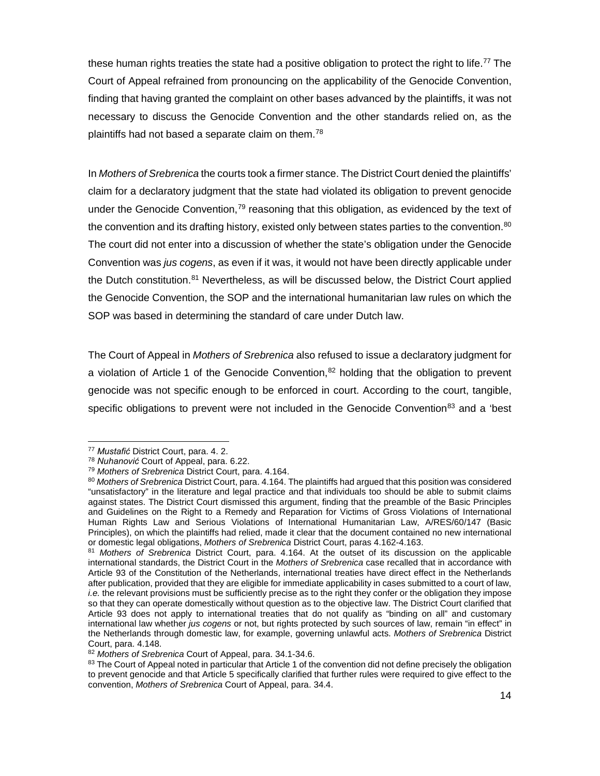these human rights treaties the state had a positive obligation to protect the right to life.<sup>77</sup> The Court of Appeal refrained from pronouncing on the applicability of the Genocide Convention, finding that having granted the complaint on other bases advanced by the plaintiffs, it was not necessary to discuss the Genocide Convention and the other standards relied on, as the plaintiffs had not based a separate claim on them.<sup>[78](#page-14-1)</sup>

In *Mothers of Srebrenica* the courts took a firmer stance. The District Court denied the plaintiffs' claim for a declaratory judgment that the state had violated its obligation to prevent genocide under the Genocide Convention, $79$  reasoning that this obligation, as evidenced by the text of the convention and its drafting history, existed only between states parties to the convention.<sup>[80](#page-14-3)</sup> The court did not enter into a discussion of whether the state's obligation under the Genocide Convention was *jus cogens*, as even if it was, it would not have been directly applicable under the Dutch constitution.<sup>81</sup> Nevertheless, as will be discussed below, the District Court applied the Genocide Convention, the SOP and the international humanitarian law rules on which the SOP was based in determining the standard of care under Dutch law.

The Court of Appeal in *Mothers of Srebrenica* also refused to issue a declaratory judgment for a violation of Article 1 of the Genocide Convention,  $82$  holding that the obligation to prevent genocide was not specific enough to be enforced in court. According to the court, tangible, specific obligations to prevent were not included in the Genocide Convention<sup>[83](#page-14-6)</sup> and a 'best

<span id="page-14-0"></span><sup>77</sup> Mustafić District Court, para. 4. 2.

<span id="page-14-1"></span><sup>&</sup>lt;sup>78</sup> Nuhanović Court of Appeal, para. 6.22.

<span id="page-14-2"></span><sup>79</sup> *Mothers of Srebrenica* District Court, para. 4.164.

<span id="page-14-3"></span><sup>80</sup> *Mothers of Srebrenica* District Court, para. 4.164. The plaintiffs had argued that this position was considered "unsatisfactory" in the literature and legal practice and that individuals too should be able to submit claims against states. The District Court dismissed this argument, finding that the preamble of the Basic Principles and Guidelines on the Right to a Remedy and Reparation for Victims of Gross Violations of International Human Rights Law and Serious Violations of International Humanitarian Law, A/RES/60/147 (Basic Principles), on which the plaintiffs had relied, made it clear that the document contained no new international or domestic legal obligations, *Mothers of Srebrenica* District Court, paras 4.162-4.163.

<span id="page-14-4"></span><sup>81</sup> *Mothers of Srebrenica* District Court, para. 4.164. At the outset of its discussion on the applicable international standards, the District Court in the *Mothers of Srebrenica* case recalled that in accordance with Article 93 of the Constitution of the Netherlands, international treaties have direct effect in the Netherlands after publication, provided that they are eligible for immediate applicability in cases submitted to a court of law, *i.e.* the relevant provisions must be sufficiently precise as to the right they confer or the obligation they impose so that they can operate domestically without question as to the objective law. The District Court clarified that Article 93 does not apply to international treaties that do not qualify as "binding on all" and customary international law whether *jus cogens* or not, but rights protected by such sources of law, remain "in effect" in the Netherlands through domestic law, for example, governing unlawful acts. *Mothers of Srebrenica* District Court, para. 4.148.

<span id="page-14-5"></span><sup>82</sup> *Mothers of Srebrenica* Court of Appeal, para. 34.1-34.6.

<span id="page-14-6"></span><sup>83</sup> The Court of Appeal noted in particular that Article 1 of the convention did not define precisely the obligation to prevent genocide and that Article 5 specifically clarified that further rules were required to give effect to the convention, *Mothers of Srebrenica* Court of Appeal, para. 34.4.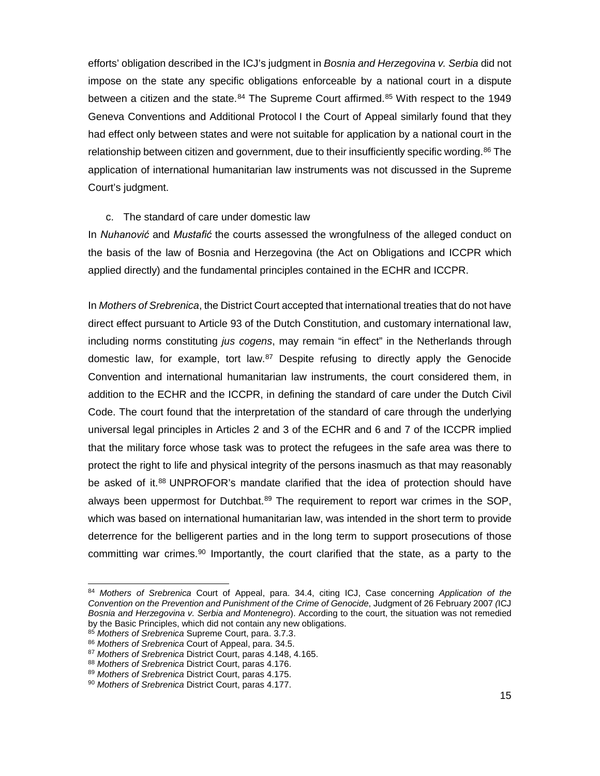efforts' obligation described in the ICJ's judgment in *Bosnia and Herzegovina v. Serbia* did not impose on the state any specific obligations enforceable by a national court in a dispute between a citizen and the state.<sup>[84](#page-15-0)</sup> The Supreme Court affirmed.<sup>[85](#page-15-1)</sup> With respect to the 1949 Geneva Conventions and Additional Protocol I the Court of Appeal similarly found that they had effect only between states and were not suitable for application by a national court in the relationship between citizen and government, due to their insufficiently specific wording.<sup>[86](#page-15-2)</sup> The application of international humanitarian law instruments was not discussed in the Supreme Court's judgment.

#### c. The standard of care under domestic law

In *Nuhanović* and *Mustafić* the courts assessed the wrongfulness of the alleged conduct on the basis of the law of Bosnia and Herzegovina (the Act on Obligations and ICCPR which applied directly) and the fundamental principles contained in the ECHR and ICCPR.

In *Mothers of Srebrenica*, the District Court accepted that international treaties that do not have direct effect pursuant to Article 93 of the Dutch Constitution, and customary international law, including norms constituting *jus cogens*, may remain "in effect" in the Netherlands through domestic law, for example, tort law. $87$  Despite refusing to directly apply the Genocide Convention and international humanitarian law instruments, the court considered them, in addition to the ECHR and the ICCPR, in defining the standard of care under the Dutch Civil Code. The court found that the interpretation of the standard of care through the underlying universal legal principles in Articles 2 and 3 of the ECHR and 6 and 7 of the ICCPR implied that the military force whose task was to protect the refugees in the safe area was there to protect the right to life and physical integrity of the persons inasmuch as that may reasonably be asked of it.<sup>[88](#page-15-4)</sup> UNPROFOR's mandate clarified that the idea of protection should have always been uppermost for Dutchbat.<sup>[89](#page-15-5)</sup> The requirement to report war crimes in the SOP, which was based on international humanitarian law, was intended in the short term to provide deterrence for the belligerent parties and in the long term to support prosecutions of those committing war crimes.<sup>[90](#page-15-6)</sup> Importantly, the court clarified that the state, as a party to the

<span id="page-15-0"></span><sup>84</sup> *Mothers of Srebrenica* Court of Appeal, para. 34.4, citing ICJ, Case concerning *Application of the Convention on the Prevention and Punishment of the Crime of Genocide*, Judgment of 26 February 2007 *(*ICJ *Bosnia and Herzegovina v. Serbia and Montenegro*). According to the court, the situation was not remedied by the Basic Principles, which did not contain any new obligations.

<span id="page-15-1"></span><sup>85</sup> *Mothers of Srebrenica* Supreme Court, para. 3.7.3.

<span id="page-15-2"></span><sup>86</sup> *Mothers of Srebrenica* Court of Appeal, para. 34.5.<br><sup>87</sup> Mothers of Srebrenica District Court, paras 4.148, 4.165.

<span id="page-15-5"></span><span id="page-15-4"></span><span id="page-15-3"></span><sup>&</sup>lt;sup>88</sup> *Mothers of Srebrenica* District Court, paras 4.176.<br><sup>89</sup> *Mothers of Srebrenica* District Court, paras 4.175.

<span id="page-15-6"></span><sup>90</sup> *Mothers of Srebrenica* District Court, paras 4.177.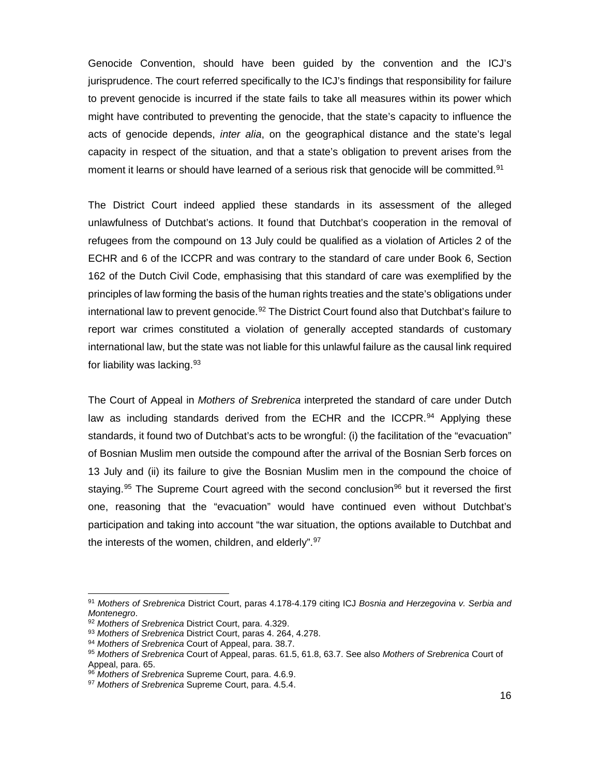Genocide Convention, should have been guided by the convention and the ICJ's jurisprudence. The court referred specifically to the ICJ's findings that responsibility for failure to prevent genocide is incurred if the state fails to take all measures within its power which might have contributed to preventing the genocide, that the state's capacity to influence the acts of genocide depends, *inter alia*, on the geographical distance and the state's legal capacity in respect of the situation, and that a state's obligation to prevent arises from the moment it learns or should have learned of a serious risk that genocide will be committed.<sup>[91](#page-16-0)</sup>

The District Court indeed applied these standards in its assessment of the alleged unlawfulness of Dutchbat's actions. It found that Dutchbat's cooperation in the removal of refugees from the compound on 13 July could be qualified as a violation of Articles 2 of the ECHR and 6 of the ICCPR and was contrary to the standard of care under Book 6, Section 162 of the Dutch Civil Code, emphasising that this standard of care was exemplified by the principles of law forming the basis of the human rights treaties and the state's obligations under international law to prevent genocide.<sup>[92](#page-16-1)</sup> The District Court found also that Dutchbat's failure to report war crimes constituted a violation of generally accepted standards of customary international law, but the state was not liable for this unlawful failure as the causal link required for liability was lacking. [93](#page-16-2)

The Court of Appeal in *Mothers of Srebrenica* interpreted the standard of care under Dutch law as including standards derived from the ECHR and the ICCPR.<sup>[94](#page-16-3)</sup> Applying these standards, it found two of Dutchbat's acts to be wrongful: (i) the facilitation of the "evacuation" of Bosnian Muslim men outside the compound after the arrival of the Bosnian Serb forces on 13 July and (ii) its failure to give the Bosnian Muslim men in the compound the choice of staying.<sup>[95](#page-16-4)</sup> The Supreme Court agreed with the second conclusion<sup>[96](#page-16-5)</sup> but it reversed the first one, reasoning that the "evacuation" would have continued even without Dutchbat's participation and taking into account "the war situation, the options available to Dutchbat and the interests of the women, children, and elderly".<sup>[97](#page-16-6)</sup>

<span id="page-16-0"></span><sup>91</sup> *Mothers of Srebrenica* District Court, paras 4.178-4.179 citing ICJ *Bosnia and Herzegovina v. Serbia and* 

<sup>&</sup>lt;sup>92</sup> Mothers of Srebrenica District Court, para. 4.329.

<span id="page-16-2"></span><span id="page-16-1"></span><sup>93</sup> *Mothers of Srebrenica* District Court, paras 4. 264, 4.278. 94 *Mothers of Srebrenica* Court of Appeal, para. 38.7.

<span id="page-16-4"></span><span id="page-16-3"></span><sup>95</sup> *Mothers of Srebrenica* Court of Appeal, paras. 61.5, 61.8, 63.7. See also *Mothers of Srebrenica* Court of

<span id="page-16-5"></span><sup>&</sup>lt;sup>96</sup> Mothers of Srebrenica Supreme Court, para. 4.6.9.

<span id="page-16-6"></span><sup>97</sup> *Mothers of Srebrenica* Supreme Court, para. 4.5.4.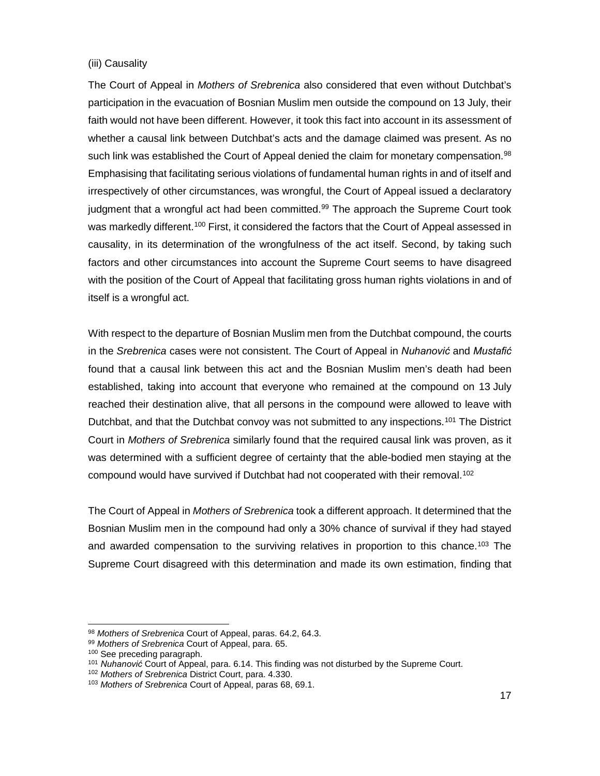#### (iii) Causality

The Court of Appeal in *Mothers of Srebrenica* also considered that even without Dutchbat's participation in the evacuation of Bosnian Muslim men outside the compound on 13 July, their faith would not have been different. However, it took this fact into account in its assessment of whether a causal link between Dutchbat's acts and the damage claimed was present. As no such link was established the Court of Appeal denied the claim for monetary compensation.<sup>[98](#page-17-0)</sup> Emphasising that facilitating serious violations of fundamental human rights in and of itself and irrespectively of other circumstances, was wrongful, the Court of Appeal issued a declaratory judgment that a wrongful act had been committed. $99$  The approach the Supreme Court took was markedly different.<sup>[100](#page-17-2)</sup> First, it considered the factors that the Court of Appeal assessed in causality, in its determination of the wrongfulness of the act itself. Second, by taking such factors and other circumstances into account the Supreme Court seems to have disagreed with the position of the Court of Appeal that facilitating gross human rights violations in and of itself is a wrongful act.

With respect to the departure of Bosnian Muslim men from the Dutchbat compound, the courts in the *Srebrenica* cases were not consistent. The Court of Appeal in *Nuhanović* and *Mustafić* found that a causal link between this act and the Bosnian Muslim men's death had been established, taking into account that everyone who remained at the compound on 13 July reached their destination alive, that all persons in the compound were allowed to leave with Dutchbat, and that the Dutchbat convoy was not submitted to any inspections.<sup>[101](#page-17-3)</sup> The District Court in *Mothers of Srebrenica* similarly found that the required causal link was proven, as it was determined with a sufficient degree of certainty that the able-bodied men staying at the compound would have survived if Dutchbat had not cooperated with their removal.<sup>[102](#page-17-4)</sup>

The Court of Appeal in *Mothers of Srebrenica* took a different approach. It determined that the Bosnian Muslim men in the compound had only a 30% chance of survival if they had stayed and awarded compensation to the surviving relatives in proportion to this chance.<sup>[103](#page-17-5)</sup> The Supreme Court disagreed with this determination and made its own estimation, finding that

<span id="page-17-0"></span><sup>98</sup> *Mothers of Srebrenica* Court of Appeal, paras. 64.2, 64.3.<br>99 *Mothers of Srebrenica* Court of Appeal, para. 65.

<span id="page-17-3"></span><span id="page-17-2"></span><span id="page-17-1"></span><sup>&</sup>lt;sup>100</sup> See preceding paragraph.<br><sup>101</sup> Nuhanović Court of Appeal, para. 6.14. This finding was not disturbed by the Supreme Court.<br><sup>102</sup> Mothers of Srebrenica District Court, para. 4.330.

<span id="page-17-5"></span><span id="page-17-4"></span><sup>&</sup>lt;sup>103</sup> Mothers of Srebrenica Court of Appeal, paras 68, 69.1.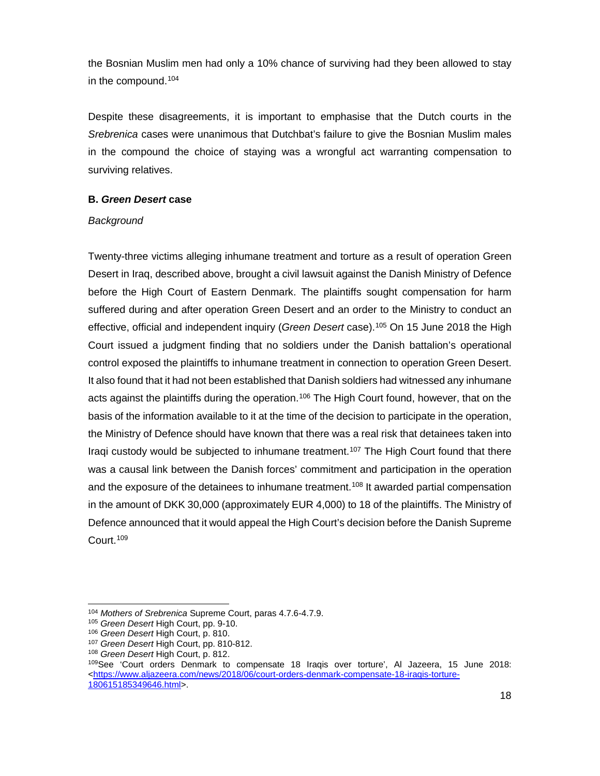the Bosnian Muslim men had only a 10% chance of surviving had they been allowed to stay in the compound. [104](#page-18-0)

Despite these disagreements, it is important to emphasise that the Dutch courts in the *Srebrenica* cases were unanimous that Dutchbat's failure to give the Bosnian Muslim males in the compound the choice of staying was a wrongful act warranting compensation to surviving relatives.

## **B.** *Green Desert* **case**

## *Background*

Twenty-three victims alleging inhumane treatment and torture as a result of operation Green Desert in Iraq, described above, brought a civil lawsuit against the Danish Ministry of Defence before the High Court of Eastern Denmark. The plaintiffs sought compensation for harm suffered during and after operation Green Desert and an order to the Ministry to conduct an effective, official and independent inquiry (*Green Desert* case).[105](#page-18-1) On 15 June 2018 the High Court issued a judgment finding that no soldiers under the Danish battalion's operational control exposed the plaintiffs to inhumane treatment in connection to operation Green Desert. It also found that it had not been established that Danish soldiers had witnessed any inhumane acts against the plaintiffs during the operation.<sup>[106](#page-18-2)</sup> The High Court found, however, that on the basis of the information available to it at the time of the decision to participate in the operation, the Ministry of Defence should have known that there was a real risk that detainees taken into Iraqi custody would be subjected to inhumane treatment.<sup>[107](#page-18-3)</sup> The High Court found that there was a causal link between the Danish forces' commitment and participation in the operation and the exposure of the detainees to inhumane treatment.<sup>[108](#page-18-4)</sup> It awarded partial compensation in the amount of DKK 30,000 (approximately EUR 4,000) to 18 of the plaintiffs. The Ministry of Defence announced that it would appeal the High Court's decision before the Danish Supreme Court.[109](#page-18-5)

<span id="page-18-0"></span> $\overline{a}$ <sup>104</sup> *Mothers of Srebrenica* Supreme Court, paras 4.7.6-4.7.9.

<sup>105</sup> *Green Desert* High Court, pp. 9-10.

<span id="page-18-2"></span><span id="page-18-1"></span><sup>106</sup> *Green Desert* High Court, p. 810.

<span id="page-18-3"></span><sup>107</sup> *Green Desert* High Court, pp. 810-812.

<span id="page-18-4"></span><sup>108</sup> *Green Desert* High Court, p. 812.

<span id="page-18-5"></span><sup>109</sup>See 'Court orders Denmark to compensate 18 Iraqis over torture', Al Jazeera, 15 June 2018: [<https://www.aljazeera.com/news/2018/06/court-orders-denmark-compensate-18-iraqis-torture-](https://www.aljazeera.com/news/2018/06/court-orders-denmark-compensate-18-iraqis-torture-180615185349646.html)[180615185349646.html>](https://www.aljazeera.com/news/2018/06/court-orders-denmark-compensate-18-iraqis-torture-180615185349646.html).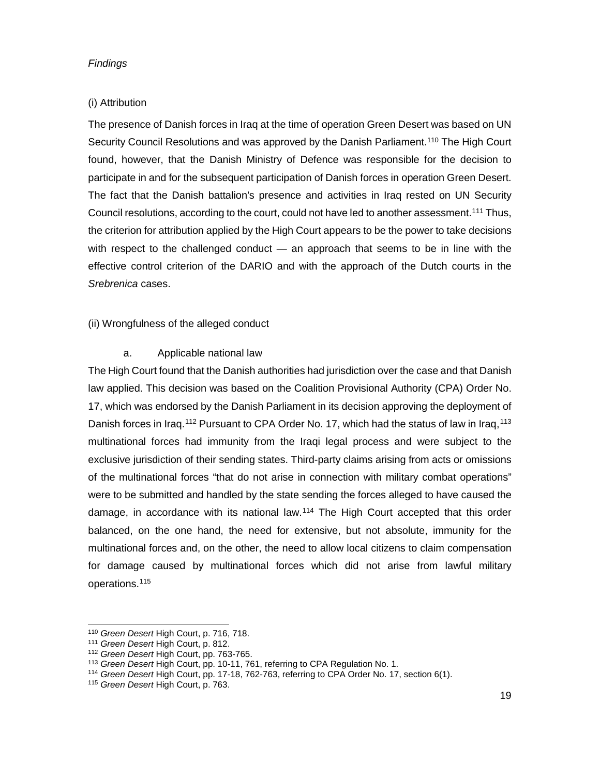#### *Findings*

## (i) Attribution

The presence of Danish forces in Iraq at the time of operation Green Desert was based on UN Security Council Resolutions and was approved by the Danish Parliament.<sup>[110](#page-19-0)</sup> The High Court found, however, that the Danish Ministry of Defence was responsible for the decision to participate in and for the subsequent participation of Danish forces in operation Green Desert. The fact that the Danish battalion's presence and activities in Iraq rested on UN Security Council resolutions, according to the court, could not have led to another assessment.<sup>[111](#page-19-1)</sup> Thus, the criterion for attribution applied by the High Court appears to be the power to take decisions with respect to the challenged conduct — an approach that seems to be in line with the effective control criterion of the DARIO and with the approach of the Dutch courts in the *Srebrenica* cases.

# (ii) Wrongfulness of the alleged conduct

## a. Applicable national law

The High Court found that the Danish authorities had jurisdiction over the case and that Danish law applied. This decision was based on the Coalition Provisional Authority (CPA) Order No. 17, which was endorsed by the Danish Parliament in its decision approving the deployment of Danish forces in Iraq.<sup>[112](#page-19-2)</sup> Pursuant to CPA Order No. 17, which had the status of law in Iraq.<sup>[113](#page-19-3)</sup> multinational forces had immunity from the Iraqi legal process and were subject to the exclusive jurisdiction of their sending states. Third-party claims arising from acts or omissions of the multinational forces "that do not arise in connection with military combat operations" were to be submitted and handled by the state sending the forces alleged to have caused the damage, in accordance with its national law.[114](#page-19-4) The High Court accepted that this order balanced, on the one hand, the need for extensive, but not absolute, immunity for the multinational forces and, on the other, the need to allow local citizens to claim compensation for damage caused by multinational forces which did not arise from lawful military operations[.115](#page-19-5) 

<sup>110</sup> *Green Desert* High Court, p. 716, 718.

<span id="page-19-1"></span><span id="page-19-0"></span><sup>111</sup> *Green Desert* High Court, p. 812.

<span id="page-19-2"></span><sup>&</sup>lt;sup>112</sup> Green Desert High Court, pp. 763-765.<br><sup>113</sup> Green Desert High Court, pp. 10-11, 761, referring to CPA Regulation No. 1.

<span id="page-19-4"></span><span id="page-19-3"></span><sup>&</sup>lt;sup>114</sup> Green Desert High Court, pp. 17-18, 762-763, referring to CPA Order No. 17, section 6(1).

<span id="page-19-5"></span><sup>115</sup> *Green Desert* High Court, p. 763.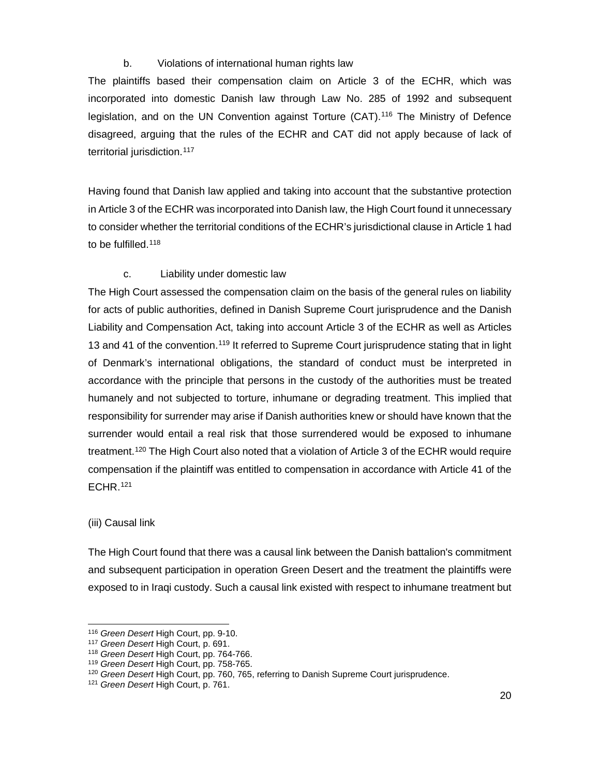## b. Violations of international human rights law

The plaintiffs based their compensation claim on Article 3 of the ECHR, which was incorporated into domestic Danish law through Law No. 285 of 1992 and subsequent legislation, and on the UN Convention against Torture (CAT).[116](#page-20-0) The Ministry of Defence disagreed, arguing that the rules of the ECHR and CAT did not apply because of lack of territorial jurisdiction.<sup>[117](#page-20-1)</sup>

Having found that Danish law applied and taking into account that the substantive protection in Article 3 of the ECHR was incorporated into Danish law, the High Court found it unnecessary to consider whether the territorial conditions of the ECHR's jurisdictional clause in Article 1 had to be fulfilled. $118$ 

## c. Liability under domestic law

The High Court assessed the compensation claim on the basis of the general rules on liability for acts of public authorities, defined in Danish Supreme Court jurisprudence and the Danish Liability and Compensation Act, taking into account Article 3 of the ECHR as well as Articles 13 and 41 of the convention.<sup>[119](#page-20-3)</sup> It referred to Supreme Court jurisprudence stating that in light of Denmark's international obligations, the standard of conduct must be interpreted in accordance with the principle that persons in the custody of the authorities must be treated humanely and not subjected to torture, inhumane or degrading treatment. This implied that responsibility for surrender may arise if Danish authorities knew or should have known that the surrender would entail a real risk that those surrendered would be exposed to inhumane treatment.<sup>[120](#page-20-4)</sup> The High Court also noted that a violation of Article 3 of the ECHR would require compensation if the plaintiff was entitled to compensation in accordance with Article 41 of the ECHR.[121](#page-20-5)

#### (iii) Causal link

 $\overline{a}$ 

The High Court found that there was a causal link between the Danish battalion's commitment and subsequent participation in operation Green Desert and the treatment the plaintiffs were exposed to in Iraqi custody. Such a causal link existed with respect to inhumane treatment but

<sup>116</sup> *Green Desert* High Court, pp. 9-10.

<span id="page-20-1"></span><span id="page-20-0"></span><sup>117</sup> *Green Desert* High Court, p. 691.

<span id="page-20-2"></span><sup>118</sup> *Green Desert* High Court, pp. 764-766.

<span id="page-20-3"></span><sup>119</sup> *Green Desert* High Court, pp. 758-765.

<span id="page-20-5"></span><span id="page-20-4"></span><sup>120</sup> *Green Desert* High Court, pp. 760, 765, referring to Danish Supreme Court jurisprudence. 121 *Green Desert* High Court, p. 761.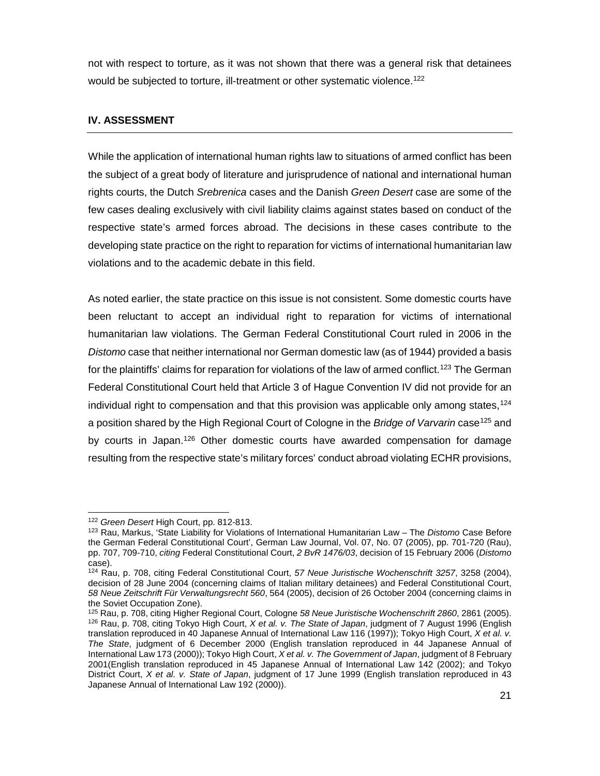not with respect to torture, as it was not shown that there was a general risk that detainees would be subjected to torture, ill-treatment or other systematic violence.<sup>[122](#page-21-0)</sup>

# **IV. ASSESSMENT**

While the application of international human rights law to situations of armed conflict has been the subject of a great body of literature and jurisprudence of national and international human rights courts, the Dutch *Srebrenica* cases and the Danish *Green Desert* case are some of the few cases dealing exclusively with civil liability claims against states based on conduct of the respective state's armed forces abroad. The decisions in these cases contribute to the developing state practice on the right to reparation for victims of international humanitarian law violations and to the academic debate in this field.

As noted earlier, the state practice on this issue is not consistent. Some domestic courts have been reluctant to accept an individual right to reparation for victims of international humanitarian law violations. The German Federal Constitutional Court ruled in 2006 in the *Distomo* case that neither international nor German domestic law (as of 1944) provided a basis for the plaintiffs' claims for reparation for violations of the law of armed conflict.<sup>[123](#page-21-1)</sup> The German Federal Constitutional Court held that Article 3 of Hague Convention IV did not provide for an individual right to compensation and that this provision was applicable only among states,  $124$ a position shared by the High Regional Court of Cologne in the *Bridge of Varvarin* case<sup>[125](#page-21-3)</sup> and by courts in Japan.[126](#page-21-4) Other domestic courts have awarded compensation for damage resulting from the respective state's military forces' conduct abroad violating ECHR provisions,

<sup>122</sup> *Green Desert* High Court, pp. 812-813.

<span id="page-21-1"></span><span id="page-21-0"></span><sup>123</sup> Rau, Markus, 'State Liability for Violations of International Humanitarian Law – The *Distomo* Case Before the German Federal Constitutional Court', German Law Journal, Vol. 07, No. 07 (2005), pp. 701-720 (Rau), pp. 707, 709-710, *citing* Federal Constitutional Court, *2 BvR 1476/03*, decision of 15 February 2006 (*Distomo* case).

<span id="page-21-2"></span><sup>124</sup> Rau, p. 708, citing Federal Constitutional Court, *57 Neue Juristische Wochenschrift 3257*, 3258 (2004), decision of 28 June 2004 (concerning claims of Italian military detainees) and Federal Constitutional Court, *58 Neue Zeitschrift Für Verwaltungsrecht 560*, 564 (2005), decision of 26 October 2004 (concerning claims in the Soviet Occupation Zone).

<span id="page-21-4"></span><span id="page-21-3"></span><sup>125</sup> Rau, p. 708, citing Higher Regional Court, Cologne *58 Neue Juristische Wochenschrift 2860*, 2861 (2005). <sup>126</sup> Rau, p. 708, citing Tokyo High Court, *X et al. v. The State of Japan*, judgment of 7 August 1996 (English translation reproduced in 40 Japanese Annual of International Law 116 (1997)); Tokyo High Court, *X et al. v. The State*, judgment of 6 December 2000 (English translation reproduced in 44 Japanese Annual of International Law 173 (2000)); Tokyo High Court, *X et al. v. The Government of Japan*, judgment of 8 February 2001(English translation reproduced in 45 Japanese Annual of International Law 142 (2002); and Tokyo District Court, *X et al. v. State of Japan*, judgment of 17 June 1999 (English translation reproduced in 43 Japanese Annual of International Law 192 (2000)).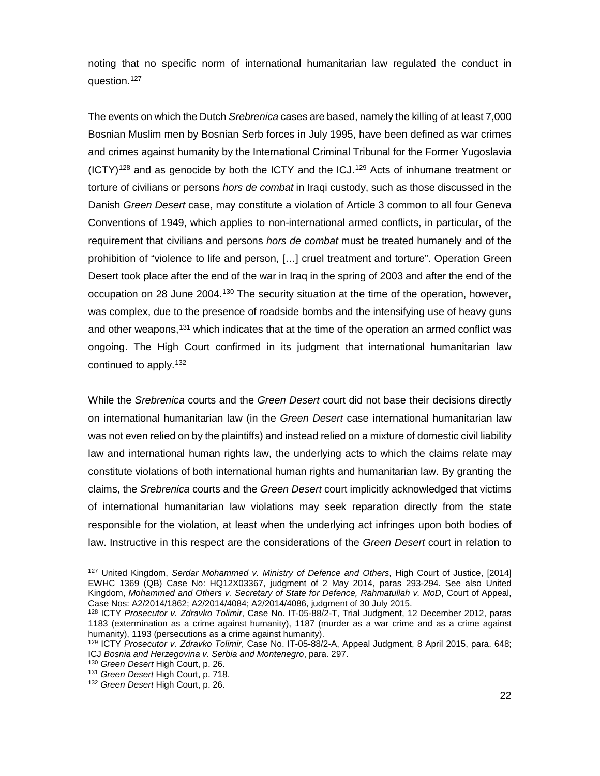noting that no specific norm of international humanitarian law regulated the conduct in question.<sup>[127](#page-22-0)</sup>

The events on which the Dutch *Srebrenica* cases are based, namely the killing of at least 7,000 Bosnian Muslim men by Bosnian Serb forces in July 1995, have been defined as war crimes and crimes against humanity by the International Criminal Tribunal for the Former Yugoslavia  $(ICTY)^{128}$  and as genocide by both the ICTY and the ICJ.<sup>[129](#page-22-2)</sup> Acts of inhumane treatment or torture of civilians or persons *hors de combat* in Iraqi custody, such as those discussed in the Danish *Green Desert* case, may constitute a violation of Article 3 common to all four Geneva Conventions of 1949, which applies to non-international armed conflicts, in particular, of the requirement that civilians and persons *hors de combat* must be treated humanely and of the prohibition of "violence to life and person, […] cruel treatment and torture". Operation Green Desert took place after the end of the war in Iraq in the spring of 2003 and after the end of the occupation on 28 June 2004.[130](#page-22-3) The security situation at the time of the operation, however, was complex, due to the presence of roadside bombs and the intensifying use of heavy guns and other weapons,<sup>[131](#page-22-4)</sup> which indicates that at the time of the operation an armed conflict was ongoing. The High Court confirmed in its judgment that international humanitarian law continued to apply.[132](#page-22-5)

While the *Srebrenica* courts and the *Green Desert* court did not base their decisions directly on international humanitarian law (in the *Green Desert* case international humanitarian law was not even relied on by the plaintiffs) and instead relied on a mixture of domestic civil liability law and international human rights law, the underlying acts to which the claims relate may constitute violations of both international human rights and humanitarian law. By granting the claims, the *Srebrenica* courts and the *Green Desert* court implicitly acknowledged that victims of international humanitarian law violations may seek reparation directly from the state responsible for the violation, at least when the underlying act infringes upon both bodies of law. Instructive in this respect are the considerations of the *Green Desert* court in relation to

<span id="page-22-0"></span><sup>127</sup> United Kingdom, *Serdar Mohammed v. Ministry of Defence and Others*, High Court of Justice, [2014] EWHC 1369 (QB) Case No: HQ12X03367, judgment of 2 May 2014, paras 293-294. See also United Kingdom, *Mohammed and Others v. Secretary of State for Defence, Rahmatullah v. MoD*, Court of Appeal, Case Nos: A2/2014/1862; A2/2014/4084; A2/2014/4086, judgment of 30 July 2015.

<span id="page-22-1"></span><sup>128</sup> ICTY *Prosecutor v. Zdravko Tolimir*, Case No. IT-05-88/2-T, Trial Judgment, 12 December 2012, paras 1183 (extermination as a crime against humanity), 1187 (murder as a war crime and as a crime against humanity), 1193 (persecutions as a crime against humanity).

<span id="page-22-2"></span><sup>129</sup> ICTY *Prosecutor v. Zdravko Tolimir*, Case No. IT-05-88/2-A, Appeal Judgment, 8 April 2015, para. 648; ICJ *Bosnia and Herzegovina v. Serbia and Montenegro*, para. 297.

<span id="page-22-5"></span><span id="page-22-4"></span><span id="page-22-3"></span><sup>130</sup> *Green Desert* High Court, p. 26. 131 *Green Desert* High Court, p. 718. 132 *Green Desert* High Court, p. 26.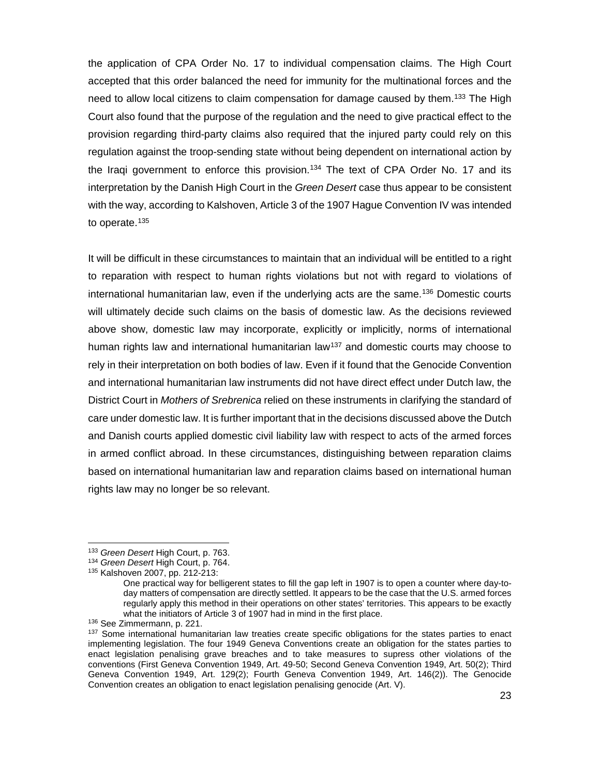the application of CPA Order No. 17 to individual compensation claims. The High Court accepted that this order balanced the need for immunity for the multinational forces and the need to allow local citizens to claim compensation for damage caused by them.<sup>[133](#page-23-0)</sup> The High Court also found that the purpose of the regulation and the need to give practical effect to the provision regarding third-party claims also required that the injured party could rely on this regulation against the troop-sending state without being dependent on international action by the Iraqi government to enforce this provision.<sup>134</sup> The text of CPA Order No. 17 and its interpretation by the Danish High Court in the *Green Desert* case thus appear to be consistent with the way, according to Kalshoven, Article 3 of the 1907 Hague Convention IV was intended to operate.<sup>[135](#page-23-2)</sup>

It will be difficult in these circumstances to maintain that an individual will be entitled to a right to reparation with respect to human rights violations but not with regard to violations of international humanitarian law, even if the underlying acts are the same.[136](#page-23-3) Domestic courts will ultimately decide such claims on the basis of domestic law. As the decisions reviewed above show, domestic law may incorporate, explicitly or implicitly, norms of international human rights law and international humanitarian law<sup>137</sup> and domestic courts may choose to rely in their interpretation on both bodies of law. Even if it found that the Genocide Convention and international humanitarian law instruments did not have direct effect under Dutch law, the District Court in *Mothers of Srebrenica* relied on these instruments in clarifying the standard of care under domestic law. It is further important that in the decisions discussed above the Dutch and Danish courts applied domestic civil liability law with respect to acts of the armed forces in armed conflict abroad. In these circumstances, distinguishing between reparation claims based on international humanitarian law and reparation claims based on international human rights law may no longer be so relevant.

<span id="page-23-0"></span><sup>133</sup> *Green Desert* High Court, p. 763.

<span id="page-23-1"></span><sup>134</sup> *Green Desert* High Court, p. 764.

<span id="page-23-2"></span><sup>135</sup> Kalshoven 2007, pp. 212-213:

One practical way for belligerent states to fill the gap left in 1907 is to open a counter where day-today matters of compensation are directly settled. It appears to be the case that the U.S. armed forces regularly apply this method in their operations on other states' territories. This appears to be exactly what the initiators of Article 3 of 1907 had in mind in the first place.

<span id="page-23-3"></span><sup>136</sup> See Zimmermann, p. 221.

<span id="page-23-4"></span><sup>&</sup>lt;sup>137</sup> Some international humanitarian law treaties create specific obligations for the states parties to enact implementing legislation. The four 1949 Geneva Conventions create an obligation for the states parties to enact legislation penalising grave breaches and to take measures to supress other violations of the conventions (First Geneva Convention 1949, Art. 49-50; Second Geneva Convention 1949, Art. 50(2); Third Geneva Convention 1949, Art. 129(2); Fourth Geneva Convention 1949, Art. 146(2)). The Genocide Convention creates an obligation to enact legislation penalising genocide (Art. V).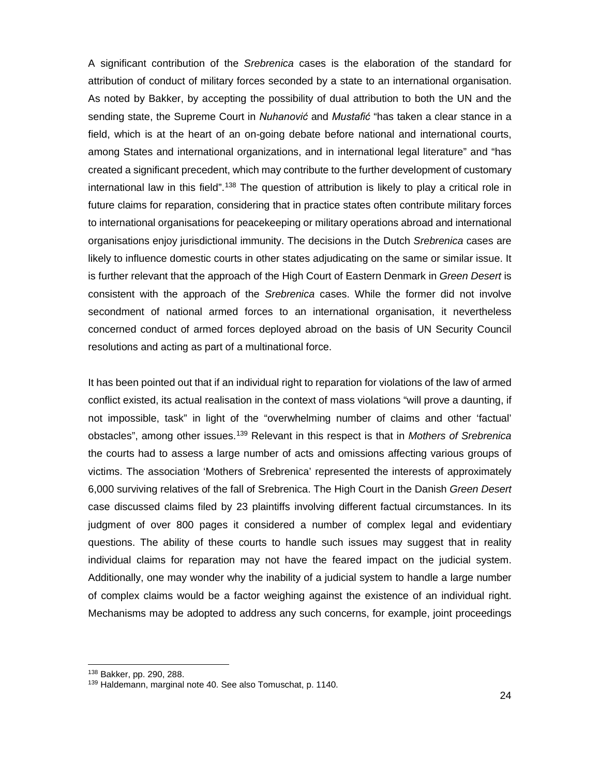A significant contribution of the *Srebrenica* cases is the elaboration of the standard for attribution of conduct of military forces seconded by a state to an international organisation. As noted by Bakker, by accepting the possibility of dual attribution to both the UN and the sending state, the Supreme Court in *Nuhanović* and *Mustafić* "has taken a clear stance in a field, which is at the heart of an on-going debate before national and international courts, among States and international organizations, and in international legal literature" and "has created a significant precedent, which may contribute to the further development of customary international law in this field".<sup>[138](#page-24-0)</sup> The question of attribution is likely to play a critical role in future claims for reparation, considering that in practice states often contribute military forces to international organisations for peacekeeping or military operations abroad and international organisations enjoy jurisdictional immunity. The decisions in the Dutch *Srebrenica* cases are likely to influence domestic courts in other states adjudicating on the same or similar issue. It is further relevant that the approach of the High Court of Eastern Denmark in *Green Desert* is consistent with the approach of the *Srebrenica* cases. While the former did not involve secondment of national armed forces to an international organisation, it nevertheless concerned conduct of armed forces deployed abroad on the basis of UN Security Council resolutions and acting as part of a multinational force.

It has been pointed out that if an individual right to reparation for violations of the law of armed conflict existed, its actual realisation in the context of mass violations "will prove a daunting, if not impossible, task" in light of the "overwhelming number of claims and other 'factual' obstacles", among other issues[.139](#page-24-1) Relevant in this respect is that in *Mothers of Srebrenica* the courts had to assess a large number of acts and omissions affecting various groups of victims. The association 'Mothers of Srebrenica' represented the interests of approximately 6,000 surviving relatives of the fall of Srebrenica. The High Court in the Danish *Green Desert* case discussed claims filed by 23 plaintiffs involving different factual circumstances. In its judgment of over 800 pages it considered a number of complex legal and evidentiary questions. The ability of these courts to handle such issues may suggest that in reality individual claims for reparation may not have the feared impact on the judicial system. Additionally, one may wonder why the inability of a judicial system to handle a large number of complex claims would be a factor weighing against the existence of an individual right. Mechanisms may be adopted to address any such concerns, for example, joint proceedings

<span id="page-24-1"></span><span id="page-24-0"></span><sup>&</sup>lt;sup>138</sup> Bakker, pp. 290, 288.<br><sup>139</sup> Haldemann, marginal note 40. See also Tomuschat, p. 1140.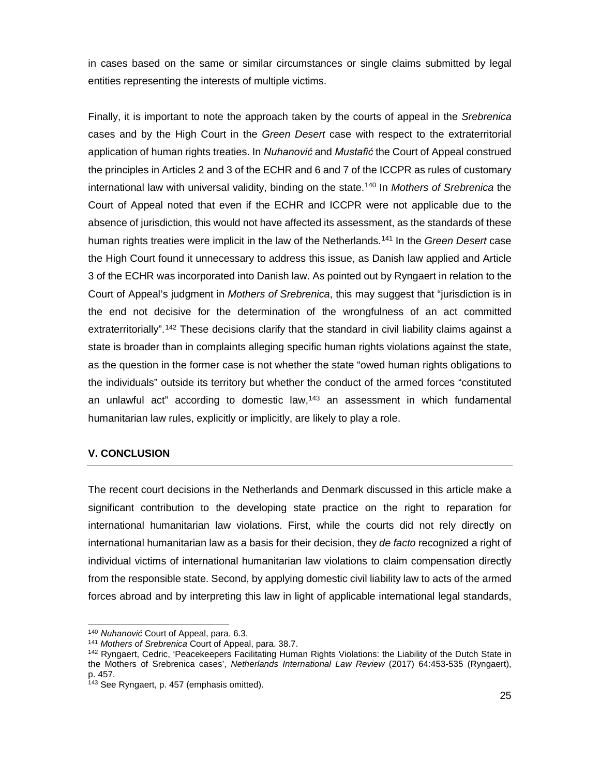in cases based on the same or similar circumstances or single claims submitted by legal entities representing the interests of multiple victims.

Finally, it is important to note the approach taken by the courts of appeal in the *Srebrenica* cases and by the High Court in the *Green Desert* case with respect to the extraterritorial application of human rights treaties. In *Nuhanović* and *Mustafić* the Court of Appeal construed the principles in Articles 2 and 3 of the ECHR and 6 and 7 of the ICCPR as rules of customary international law with universal validity, binding on the state.[140](#page-25-0) In *Mothers of Srebrenica* the Court of Appeal noted that even if the ECHR and ICCPR were not applicable due to the absence of jurisdiction, this would not have affected its assessment, as the standards of these human rights treaties were implicit in the law of the Netherlands[.141](#page-25-1) In the *Green Desert* case the High Court found it unnecessary to address this issue, as Danish law applied and Article 3 of the ECHR was incorporated into Danish law. As pointed out by Ryngaert in relation to the Court of Appeal's judgment in *Mothers of Srebrenica*, this may suggest that "jurisdiction is in the end not decisive for the determination of the wrongfulness of an act committed extraterritorially".<sup>[142](#page-25-2)</sup> These decisions clarify that the standard in civil liability claims against a state is broader than in complaints alleging specific human rights violations against the state, as the question in the former case is not whether the state "owed human rights obligations to the individuals" outside its territory but whether the conduct of the armed forces "constituted an unlawful act" according to domestic law,<sup>[143](#page-25-3)</sup> an assessment in which fundamental humanitarian law rules, explicitly or implicitly, are likely to play a role.

# **V. CONCLUSION**

 $\overline{a}$ 

The recent court decisions in the Netherlands and Denmark discussed in this article make a significant contribution to the developing state practice on the right to reparation for international humanitarian law violations. First, while the courts did not rely directly on international humanitarian law as a basis for their decision, they *de facto* recognized a right of individual victims of international humanitarian law violations to claim compensation directly from the responsible state. Second, by applying domestic civil liability law to acts of the armed forces abroad and by interpreting this law in light of applicable international legal standards,

<sup>140</sup> *Nuhanović* Court of Appeal, para. 6.3.

<span id="page-25-1"></span><span id="page-25-0"></span><sup>141</sup> *Mothers of Srebrenica* Court of Appeal, para. 38.7.

<span id="page-25-2"></span><sup>&</sup>lt;sup>142</sup> Ryngaert, Cedric, 'Peacekeepers Facilitating Human Rights Violations: the Liability of the Dutch State in the Mothers of Srebrenica cases', *Netherlands International Law Review* (2017) 64:453-535 (Ryngaert), p. 457.<br><sup>143</sup> See Ryngaert, p. 457 (emphasis omitted).

<span id="page-25-3"></span>